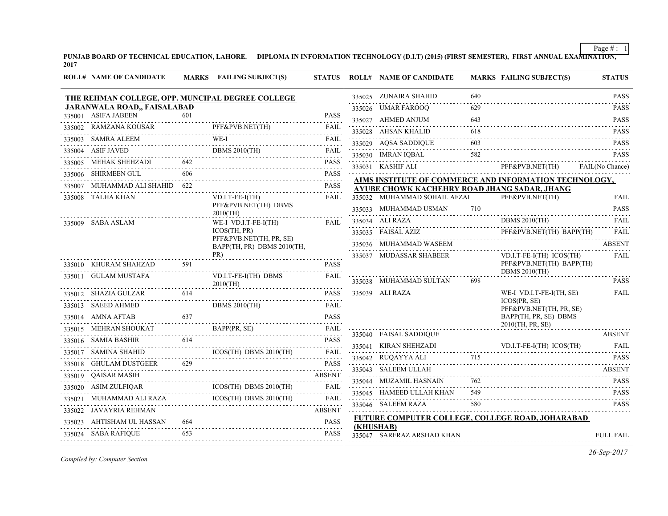**PUNJAB BOARD OF TECHNICAL EDUCATION, LAHORE. DIPLOMA IN INFORMATION TECHNOLOGY (D.I.T) (2015) (FIRST SEMESTER), FIRST ANNUAL EXAMINATION, 2017**  $\overline{+}$ 

| <b>ROLL# NAME OF CANDIDATE</b>                   |     | MARKS FAILING SUBJECT(S)                                                                                                                                                                                                                                                                                                                                                              | <b>STATUS</b> |           | <b>ROLL# NAME OF CANDIDATE</b>                                                                                                                                                             |     | <b>MARKS FAILING SUBJECT(S)</b>                      | <b>STATUS</b>    |
|--------------------------------------------------|-----|---------------------------------------------------------------------------------------------------------------------------------------------------------------------------------------------------------------------------------------------------------------------------------------------------------------------------------------------------------------------------------------|---------------|-----------|--------------------------------------------------------------------------------------------------------------------------------------------------------------------------------------------|-----|------------------------------------------------------|------------------|
| THE REHMAN COLLEGE, OPP. MUNCIPAL DEGREE COLLEGE |     |                                                                                                                                                                                                                                                                                                                                                                                       |               |           | 335025 ZUNAIRA SHAHID                                                                                                                                                                      | 640 |                                                      | <b>PASS</b>      |
| <b>JARANWALA ROAD,, FAISALABAD</b>               |     |                                                                                                                                                                                                                                                                                                                                                                                       |               |           | 335026 UMAR FAROOQ                                                                                                                                                                         |     |                                                      | <b>PASS</b>      |
| 335001 ASIFA JABEEN                              | 601 |                                                                                                                                                                                                                                                                                                                                                                                       | <b>PASS</b>   |           | 335027 AHMED ANJUM                                                                                                                                                                         | 643 |                                                      | <b>PASS</b>      |
|                                                  |     | 335002 RAMZANA KOUSAR PFF&PVB.NET(TH) FAIL                                                                                                                                                                                                                                                                                                                                            | FAIL          |           | 335028 AHSAN KHALID                                                                                                                                                                        | 618 |                                                      | <b>PASS</b>      |
|                                                  |     | WE-I<br>335003 SAMRA ALEEM WE-I FAIL                                                                                                                                                                                                                                                                                                                                                  |               |           | $\begin{tabular}{ccccc} 335029 & AQSA SADDIQUE & & & 603 & & & & PASS \\ \hline \end{tabular}$                                                                                             |     |                                                      |                  |
|                                                  |     | $\overbrace{335004}^{335004} \overbrace{0.481}^{ABIF JAVED} \overbrace{1.401}^{BAIE} \overbrace{1.401}^{DBHS} \overbrace{2010}^{2010} \overbrace{0.411}^{THH} \overbrace{1.401}^{FAIL}$                                                                                                                                                                                               |               |           | 335030 IMRAN IQBAL 582 PASS                                                                                                                                                                |     |                                                      |                  |
|                                                  |     | 335005 MEHAK SHEHZADI 642 PASS                                                                                                                                                                                                                                                                                                                                                        | <b>PASS</b>   |           | 335031 KASHIF ALI                                                                                                                                                                          |     | PFF&PVB.NET(TH) FAIL(No Chance)                      |                  |
| 335006 SHIRMEEN GUL 606                          |     |                                                                                                                                                                                                                                                                                                                                                                                       | <b>PASS</b>   |           | AIMS INSTITUTE OF COMMERCE AND INFORMATION TECHNOLOGY,                                                                                                                                     |     |                                                      |                  |
| 335007 MUHAMMAD ALI SHAHID 622                   |     |                                                                                                                                                                                                                                                                                                                                                                                       |               |           | <b>AYUBE CHOWK KACHEHRY ROAD JHANG SADAR, JHANG</b>                                                                                                                                        |     |                                                      |                  |
| 335008 TALHA KHAN                                |     | $VD.I.T-FE-I(TH)$<br>PFF&PVB.NET(TH) DBMS                                                                                                                                                                                                                                                                                                                                             | <b>FAIL</b>   |           | 335032 MUHAMMAD SOHAIL AFZAL                                                                                                                                                               |     | PFF&PVB.NET(TH)<br>$rrr\alpha rVB.NE1(TH)$           | <b>FAIL</b>      |
|                                                  |     | $2010$ (TH)                                                                                                                                                                                                                                                                                                                                                                           |               |           | 335033 MUHAMMAD USMAN 710 PASS                                                                                                                                                             |     |                                                      |                  |
| 335009 SABA ASLAM                                |     | WE-I VD.I.T-FE-I(TH)                                                                                                                                                                                                                                                                                                                                                                  | FAIL          |           | 335034 ALI RAZA DBMS 2010(TH)                                                                                                                                                              |     | DBMS 2010(TH)                                        | <b>FAIL</b>      |
|                                                  |     | ICOS(TH, PR)<br>PFF&PVB.NET(TH, PR, SE)                                                                                                                                                                                                                                                                                                                                               |               |           | $335035 \quad \text{FAISAL AZIZ} \qquad \qquad \text{PFF&PVB.NET(TH) } \qquad \text{FAIL} \qquad \text{FAIL}$                                                                              |     |                                                      |                  |
|                                                  |     | BAPP(TH, PR) DBMS 2010(TH,                                                                                                                                                                                                                                                                                                                                                            |               |           | 335036 MUHAMMAD WASEEM                                                                                                                                                                     |     |                                                      | <b>ABSENT</b>    |
| 335010 KHURAM SHAHZAD                            | 591 | PR)                                                                                                                                                                                                                                                                                                                                                                                   | <b>PASS</b>   |           | 335037 MUDASSAR SHABEER                                                                                                                                                                    |     | VD.I.T-FE-I(TH) ICOS(TH)<br>PFF&PVB.NET(TH) BAPP(TH) | FAIL             |
| 335011 GULAM MUSTAFA                             |     | VD.I.T-FE-I(TH) DBMS                                                                                                                                                                                                                                                                                                                                                                  | FAII.         |           |                                                                                                                                                                                            |     | DBMS $2010$ (TH)                                     |                  |
|                                                  |     | 2010(TH)                                                                                                                                                                                                                                                                                                                                                                              |               |           | 335038 MUHAMMAD SULTAN                                                                                                                                                                     | 698 |                                                      | <b>PASS</b>      |
|                                                  |     | 335012 SHAZIA GULZAR 614 PASS                                                                                                                                                                                                                                                                                                                                                         |               |           | 335039 ALI RAZA                                                                                                                                                                            |     | WE-I VD.I.T-FE-I(TH, SE)<br>ICOS(PR, SE)             | FAIL             |
| 335013 SAEED AHMED                               |     | DBMS 2010(TH) FAIL                                                                                                                                                                                                                                                                                                                                                                    | FAIL          |           |                                                                                                                                                                                            |     | PFF&PVB.NET(TH, PR, SE)                              |                  |
|                                                  |     | 335014 AMNA AFTAB 637 PASS                                                                                                                                                                                                                                                                                                                                                            |               |           |                                                                                                                                                                                            |     | BAPP(TH, PR, SE) DBMS<br>2010(TH, PR, SE)            |                  |
|                                                  |     | 335015 MEHRAN SHOUKAT BAPP(PR, SE) FAIL                                                                                                                                                                                                                                                                                                                                               |               |           | 335040 FAISAL SADDIQUE ABSENT                                                                                                                                                              |     |                                                      |                  |
|                                                  |     | 335016 SAMIA BASHIR 614 PASS                                                                                                                                                                                                                                                                                                                                                          | <b>PASS</b>   |           |                                                                                                                                                                                            |     |                                                      |                  |
|                                                  |     | $\begin{tabular}{lllllllllll} \textbf{335017} & SAMINA SHAHID & \textbf{ICOS(TH) DBMS 2010(TH)} & \textbf{FAIL} \\ \textbf{1335017} & \textbf{55017} & \textbf{5601} & \textbf{5701} & \textbf{5801} \\ \textbf{1301} & \textbf{1301} & \textbf{1301} & \textbf{1301} & \textbf{1301} & \textbf{1301} & \textbf{1301} & \textbf{1301} \\ \textbf{1301} & \textbf{1301} & \textbf{130$ |               |           | $\textbf{335041} \quad \textbf{KIRAN SHEHZADI} \qquad \qquad \textbf{VD.I.T-FE-I(TH)} \ \textbf{ICOS(TH)} \qquad \textbf{FAIL} \qquad \qquad \textbf{FAIL}$<br>335042 RUQAYYA ALI 715 PASS |     |                                                      |                  |
| 335018 GHULAM DUSTGEER 629                       |     | 5018 GHULAM DUSTGEER 629 PASS                                                                                                                                                                                                                                                                                                                                                         | <b>PASS</b>   |           | 335043 SALEEM ULLAH                                                                                                                                                                        |     |                                                      | ABSENT           |
| 335019 OAISAR MASIH                              |     |                                                                                                                                                                                                                                                                                                                                                                                       |               |           | 335044 MUZAMIL HASNAIN 762                                                                                                                                                                 |     |                                                      | <b>PASS</b>      |
|                                                  |     | $335020 ASIM ZULFIQAR ICOS(TH) DBMS 2010(TH)$                                                                                                                                                                                                                                                                                                                                         | <b>FAIL</b>   |           | UZAMIL HASNAIN 762 PASS<br>335045 HAMEED ULLAH KHAN                                                                                                                                        | 549 |                                                      | <b>PASS</b>      |
|                                                  |     | 335021 MUHAMMAD ALI RAZA ICOS(TH) DBMS 2010(TH) FAIL                                                                                                                                                                                                                                                                                                                                  |               |           | 335046 SALEEM RAZA                                                                                                                                                                         | 580 |                                                      | <b>PASS</b>      |
| 335022 JAVAYRIA REHMAN                           |     |                                                                                                                                                                                                                                                                                                                                                                                       | <b>ABSENT</b> |           |                                                                                                                                                                                            |     |                                                      |                  |
| 335023 AHTISHAM UL HASSAN 664                    |     |                                                                                                                                                                                                                                                                                                                                                                                       | <b>PASS</b>   | (KHUSHAB) | FUTURE COMPUTER COLLEGE, COLLEGE ROAD, JOHARABAD                                                                                                                                           |     |                                                      |                  |
| 335024 SABA RAFIQUE                              | 653 | 335024 SABA RAFIQUE 653 PASS                                                                                                                                                                                                                                                                                                                                                          |               |           | 335047 SARFRAZ ARSHAD KHAN                                                                                                                                                                 |     |                                                      | <b>FULL FAIL</b> |

*Compiled by: Computer Section*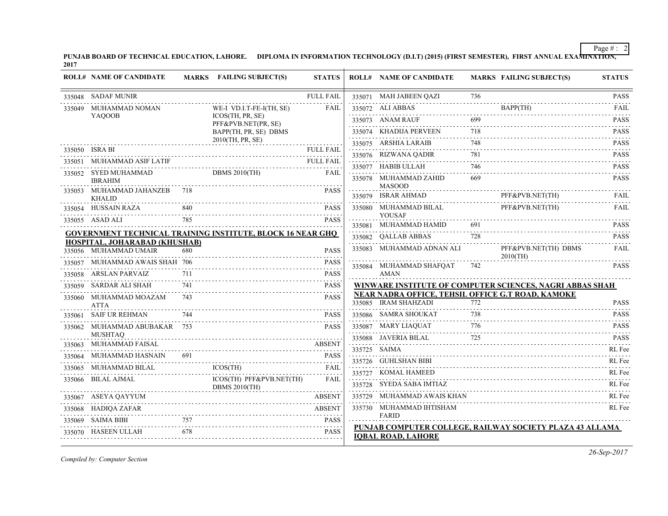**PUNJAB BOARD OF TECHNICAL EDUCATION, LAHORE. DIPLOMA IN INFORMATION TECHNOLOGY (D.I.T) (2015) (FIRST SEMESTER), FIRST ANNUAL EXAMINATION, 2017**

| <b>ROLL# NAME OF CANDIDATE</b>                             |     | MARKS FAILING SUBJECT(S)                        | <b>STATUS</b>            |   | <b>ROLL# NAME OF CANDIDATE</b>                                            |     | <b>MARKS FAILING SUBJECT(S)</b>                          | <b>STATUS</b>    |
|------------------------------------------------------------|-----|-------------------------------------------------|--------------------------|---|---------------------------------------------------------------------------|-----|----------------------------------------------------------|------------------|
| 335048 SADAF MUNIR                                         |     |                                                 | <b>FULL FAIL</b>         |   | 335071 MAH JABEEN QAZI                                                    | 736 |                                                          | <b>PASS</b>      |
| 335049 MUHAMMAD NOMAN                                      |     | WE-I VD.I.T-FE-I(TH, SE)                        | FAIL                     |   | 335072 ALI ABBAS                                                          |     | BAPP(TH)<br>$\frac{1}{2}$                                | FAII.            |
| <b>YAOOOB</b>                                              |     | ICOS(TH, PR, SE)<br>PFF&PVB.NET(PR, SE)         |                          |   | 335073 ANAM RAUF                                                          | 699 |                                                          | <b>PASS</b>      |
|                                                            |     | BAPP(TH, PR, SE) DBMS                           |                          |   | 335074 KHADIJA PERVEEN                                                    | 718 |                                                          | <b>PASS</b>      |
|                                                            |     | 2010(TH, PR, SE)                                |                          |   | 335075 ARSHIA LARAIB                                                      | 748 |                                                          | <b>PASS</b>      |
| 335050 ISRA BI                                             |     |                                                 | <b>FULL FAIL</b>         |   | 335076 RIZWANA QADIR                                                      | 781 | 781 PASS                                                 | <b>PASS</b>      |
| 335051 MUHAMMAD ASIF LATIF FULL FAIL FAIL                  |     |                                                 | <b>FULL FAIL</b>         |   | 335077 HABIB ULLAH                                                        | 746 |                                                          | <b>PASS</b>      |
| 335052 SYED MUHAMMAD<br><b>IBRAHIM</b>                     |     | DBMS 2010(TH)                                   | <b>FAIL</b>              |   | 335078 MUHAMMAD ZAHID<br><b>MASOOD</b>                                    | 669 |                                                          | .<br><b>PASS</b> |
| 335053 MUHAMMAD JAHANZEB 718<br><b>KHALID</b>              |     |                                                 | <b>PASS</b>              |   | 335079 ISRAR AHMAD                                                        |     | PFF&PVB.NET(TH)<br>$rrr\alpha\gamma$ vB.NEI(IH)          | FAIL             |
| 335054 HUSSAIN RAZA                                        | 840 |                                                 | <b>PASS</b>              |   | 335080 MUHAMMAD BILAL                                                     |     | PFF&PVB.NET(TH)                                          | FAIL             |
| 335055 ASAD ALI                                            |     |                                                 | <b>PASS</b>              |   | <b>YOUSAF</b><br>335081 MUHAMMAD HAMID                                    | 691 |                                                          | <b>PASS</b>      |
| GOVERNMENT TECHNICAL TRAINING INSTITUTE, BLOCK 16 NEAR GHQ |     |                                                 |                          |   | 335082 QALLAB ABBAS                                                       | 728 |                                                          | <b>PASS</b>      |
| HOSPITAL, JOHARABAD (KHUSHAB)                              |     |                                                 |                          | . |                                                                           |     |                                                          |                  |
| 335056 MUHAMMAD UMAIR                                      | 680 |                                                 | <b>PASS</b>              |   | 335083 MUHAMMAD ADNAN ALI                                                 |     | PFF&PVB.NET(TH) DBMS<br>$2010$ (TH)                      | FAIL             |
| 335057 MUHAMMAD AWAIS SHAH 706                             |     |                                                 | <b>PASS</b>              |   | 335084 MUHAMMAD SHAFQAT                                                   | 742 |                                                          | <b>PASS</b>      |
| 335058 ARSLAN PARVAIZ                                      |     |                                                 | <b>PASS</b>              |   | <b>AMAN</b>                                                               |     |                                                          |                  |
| 335059 SARDAR ALI SHAH                                     | 741 |                                                 | <b>PASS</b><br>2.2.2.2.2 |   |                                                                           |     | WINWARE INSTITUTE OF COMPUTER SCIENCES, NAGRI ABBAS SHAH |                  |
| 335060 MUHAMMAD MOAZAM<br><b>ATTA</b>                      | 743 |                                                 | <b>PASS</b>              |   | NEAR NADRA OFFICE, TEHSIL OFFICE G.T ROAD, KAMOKE<br>335085 IRAM SHAHZADI | 772 |                                                          | <b>PASS</b>      |
| 335061 SAIF UR REHMAN                                      |     |                                                 | <b>PASS</b>              |   | 335086 SAMRA SHOUKAT                                                      |     |                                                          | <b>PASS</b>      |
| 335062 MUHAMMAD ABUBAKAR 753                               |     |                                                 | <b>PASS</b>              |   |                                                                           |     | 335087 MARY LIAQUAT 776 PASS                             |                  |
| <b>MUSHTAQ</b><br>335063 MUHAMMAD FAISAL                   |     |                                                 |                          |   | 335088 JAVERIA BILAL                                                      | 725 |                                                          | <b>PASS</b>      |
| 335064 MUHAMMAD HASNAIN 691                                |     |                                                 | <b>PASS</b>              |   | 335725 SAIMA                                                              |     |                                                          | RL Fee           |
| 335065 MUHAMMAD BILAL                                      |     | AD HASNAIN  691                PASS<br>ICOS(TH) | FAIL                     |   | 335726 GUHLSHAN BIBI                                                      |     |                                                          | RL Fee           |
| 335066 BILAL AJMAL                                         |     | ICOS(TH) PFF&PVB.NET(TH)                        | <b>FAIL</b>              |   | 335727 KOMAL HAMEED                                                       |     |                                                          | RL Fee           |
|                                                            |     | <b>DBMS 2010(TH)</b>                            |                          |   | 335728 SYEDA SABA IMTIAZ                                                  |     |                                                          | RL Fee           |
| 335067 ASEYA QAYYUM                                        |     |                                                 | <b>ABSENT</b>            |   | 335729 MUHAMMAD AWAIS KHAN                                                |     |                                                          | RL Fee           |
| 335068 HADIQA ZAFAR                                        |     |                                                 | <b>ABSENT</b>            |   | 335730 MUHAMMAD IHTISHAM                                                  |     |                                                          | RL Fee           |
| 335069 SAIMA BIBI                                          | 757 |                                                 | <b>PASS</b>              |   | FARID                                                                     |     |                                                          |                  |
| 335070 HASEEN ULLAH                                        | 678 | HASEEN ULLAH 678 PASS                           |                          |   | <b>IOBAL ROAD, LAHORE</b>                                                 |     | PUNJAB COMPUTER COLLEGE, RAILWAY SOCIETY PLAZA 43 ALLAMA |                  |
|                                                            |     |                                                 |                          |   |                                                                           |     |                                                          |                  |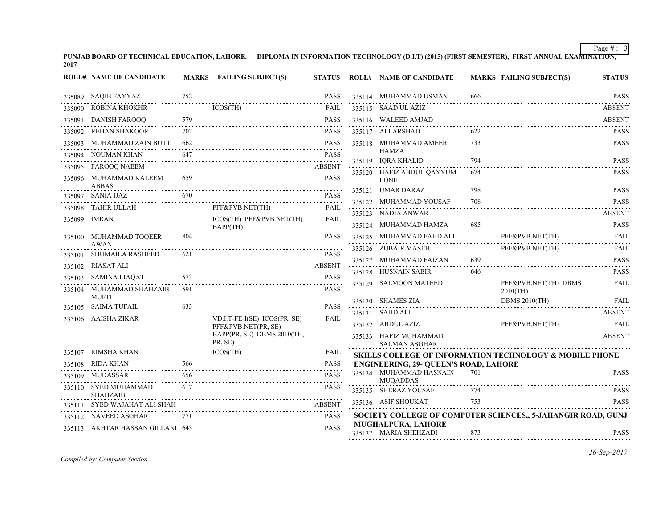**PUNJAB BOARD OF TECHNICAL EDUCATION, LAHORE. DIPLOMA IN INFORMATION TECHNOLOGY (D.I.T) (2015) (FIRST SEMESTER), FIRST ANNUAL EXAMINATION, 2017**

|        | <b>ROLL# NAME OF CANDIDATE</b>          |     | MARKS FAILING SUBJECT(S)              | <b>STATUS</b>     | <b>ROLL# NAME OF CANDIDATE</b>                |     | <b>MARKS FAILING SUBJECT(S)</b>                             | <b>STATUS</b>    |
|--------|-----------------------------------------|-----|---------------------------------------|-------------------|-----------------------------------------------|-----|-------------------------------------------------------------|------------------|
|        | 335089 SAQIB FAYYAZ                     | 752 |                                       | <b>PASS</b>       | 335114 MUHAMMAD USMAN                         | 666 |                                                             | <b>PASS</b>      |
| 335090 | ROBINA KHOKHR                           |     | ICOS(TH)                              | FAIL              | 335115 SAAD UL AZIZ                           |     |                                                             | <b>ABSENT</b>    |
| 335091 | DANISH FAROOO                           | 579 |                                       | <b>PASS</b>       | 335116 WALEED AMJAD                           |     |                                                             | <b>ABSENT</b>    |
| 335092 | <b>REHAN SHAKOOR</b>                    | 702 |                                       | <b>PASS</b>       | 335117 ALI ARSHAD                             | 622 |                                                             | <b>PASS</b>      |
| 335093 | MUHAMMAD ZAIN BUTT                      | 662 |                                       | <b>PASS</b>       | 335118 MUHAMMAD AMEER                         | 733 |                                                             | <b>PASS</b>      |
|        | 335094 NOUMAN KHAN                      | 647 |                                       | <b>PASS</b>       | <b>HAMZA</b><br>335119 IORA KHALID            | 794 |                                                             | <b>PASS</b>      |
|        | 335095 FAROOQ NAEEM                     |     |                                       | <b>ABSENT</b>     |                                               | 674 |                                                             | <b>PASS</b>      |
|        | 335096 MUHAMMAD KALEEM<br><b>ABBAS</b>  | 659 |                                       | <b>PASS</b>       | 335120 HAFIZ ABDUL OAYYUM<br><b>LONE</b>      |     |                                                             |                  |
|        | 335097 SANIA IJAZ                       | 670 |                                       | <b>PASS</b>       | 335121 UMAR DARAZ                             | 798 |                                                             | <b>PASS</b>      |
|        | 335098 TAHIR ULLAH                      |     | PFF&PVB.NET(TH)                       | <b>FAIL</b>       | 335122 MUHAMMAD YOUSAF                        | 708 |                                                             | PASS             |
|        | 335099 IMRAN                            |     | ICOS(TH) PFF&PVB.NET(TH)              | .<br>FAIL         | 335123 NADIA ANWAR                            |     |                                                             | <b>ABSENT</b>    |
|        |                                         |     | BAPP(TH)                              |                   | 335124 MUHAMMAD HAMZA                         | 685 |                                                             | <b>PASS</b>      |
|        | 335100 MUHAMMAD TOQEER<br>AWAN          | 804 |                                       | <b>PASS</b>       | 335125 MUHAMMAD FAHD ALI                      |     | PFF&PVB.NET(TH)                                             | <b>FAIL</b>      |
|        | 335101 SHUMAILA RASHEED                 | 621 |                                       | <b>PASS</b>       | 335126 ZUBAIR MASEH                           |     | PFF&PVB.NET(TH)                                             | <b>FAIL</b><br>. |
|        | 335102 RIASAT ALI                       |     |                                       | <b>ABSENT</b>     | 335127 MUHAMMAD FAIZAN                        | 639 |                                                             | <b>PASS</b>      |
|        | 335103 SAMINA LIAQAT                    | 573 |                                       | <b>PASS</b>       | 335128 HUSNAIN SABIR<br>.                     | 646 |                                                             | <b>PASS</b>      |
|        | 335104 MUHAMMAD SHAHZAIB                | 591 |                                       | <b>PASS</b>       | 335129 SALMOON MATEED                         |     | PFF&PVB.NET(TH) DBMS<br>$2010$ (TH)                         | <b>FAIL</b>      |
|        | <b>MUFTI</b><br>335105 SAIMA TUFAIL     | 633 |                                       | <b>PASS</b>       | 335130 SHAMES ZIA                             |     | <b>DBMS 2010(TH)</b>                                        | FAIL             |
|        | 335106 AAISHA ZIKAR                     |     | VD.I.T-FE-I(SE) ICOS(PR, SE)          | 2.2.2.2.2<br>FAIL | 335131 SAJID ALI                              |     |                                                             | <b>ABSENT</b>    |
|        |                                         |     | PFF&PVB.NET(PR, SE)                   |                   | 335132 ABDUL AZIZ                             |     | PFF&PVB.NET(TH)                                             | <b>FAIL</b>      |
|        |                                         |     | BAPP(PR, SE) DBMS 2010(TH,<br>PR, SE) |                   | 335133 HAFIZ MUHAMMAD<br><b>SALMAN ASGHAR</b> |     |                                                             | <b>ABSENT</b>    |
|        | 335107 RIMSHA KHAN                      |     | <b>ICOS(TH)</b>                       | FAIL              |                                               |     | SKILLS COLLEGE OF INFORMATION TECHNOLOGY & MOBILE PHONE     |                  |
|        | 335108 RIDA KHAN                        | 566 |                                       | <b>PASS</b>       | <b>ENGINEERING, 29- OUEEN'S ROAD, LAHORE</b>  |     |                                                             |                  |
|        | 335109 MUDASSAR                         | 656 |                                       | <b>PASS</b>       | 335134 MUHAMMAD HASNAIN<br><b>MUOADDAS</b>    | 701 |                                                             | <b>PASS</b>      |
|        | 335110 SYED MUHAMMAD<br><b>SHAHZAIB</b> | 617 |                                       | <b>PASS</b>       | 335135 SHERAZ YOUSAF                          | 774 |                                                             | <b>PASS</b>      |
|        | 335111 SYED WAJAHAT ALI SHAH            |     |                                       | <b>ABSENT</b>     | 335136 ASIF SHOUKAT                           | 753 |                                                             | <b>PASS</b>      |
|        | 335112 NAVEED ASGHAR                    | 771 |                                       | <b>PASS</b>       |                                               |     | SOCIETY COLLEGE OF COMPUTER SCIENCES, 5-JAHANGIR ROAD, GUNJ |                  |
|        | 335113 AKHTAR HASSAN GILLANI 643        |     |                                       | <b>PASS</b>       | MUGHALPURA, LAHORE<br>335137 MARIA SHEHZADI   | 873 |                                                             | <b>PASS</b>      |

*Compiled by: Computer Section*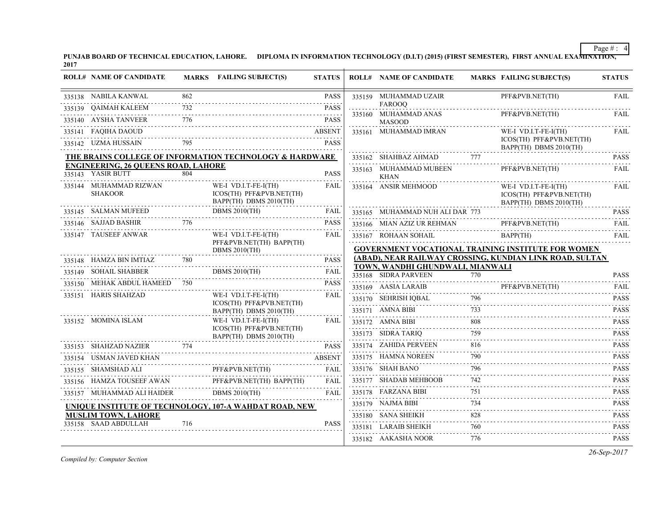**PUNJAB BOARD OF TECHNICAL EDUCATION, LAHORE. DIPLOMA IN INFORMATION TECHNOLOGY (D.I.T) (2015) (FIRST SEMESTER), FIRST ANNUAL EXAMINATION, 2017**

|        | <b>ROLL# NAME OF CANDIDATE</b>             |     | MARKS FAILING SUBJECT(S)                                                   | <b>STATUS</b> |        | <b>ROLL# NAME OF CANDIDATE</b>                           |     | <b>MARKS FAILING SUBJECT(S)</b>                                            | <b>STATUS</b>                                                                                                                                                               |
|--------|--------------------------------------------|-----|----------------------------------------------------------------------------|---------------|--------|----------------------------------------------------------|-----|----------------------------------------------------------------------------|-----------------------------------------------------------------------------------------------------------------------------------------------------------------------------|
|        | 335138 NABILA KANWAL                       | 862 |                                                                            | <b>PASS</b>   |        | 335159 MUHAMMAD UZAIR                                    |     | PFF&PVB.NET(TH)                                                            | <b>FAIL</b>                                                                                                                                                                 |
|        | 335139 QAIMAH KALEEM                       | 732 |                                                                            | <b>PASS</b>   |        | <b>FAROOQ</b><br>335160 MUHAMMAD ANAS                    |     | PFF&PVB.NET(TH)                                                            | <b>FAIL</b>                                                                                                                                                                 |
|        | 335140 AYSHA TANVEER                       | 776 |                                                                            | <b>PASS</b>   |        | <b>MASOOD</b>                                            |     |                                                                            |                                                                                                                                                                             |
| 335141 | <b>FAQIHA DAOUD</b>                        |     |                                                                            | <b>ABSENT</b> |        | 335161 MUHAMMAD IMRAN                                    |     | WE-I VD.I.T-FE-I(TH)                                                       | <b>FAIL</b>                                                                                                                                                                 |
|        | 335142 UZMA HUSSAIN                        | 795 |                                                                            | <b>PASS</b>   |        |                                                          |     | ICOS(TH) PFF&PVB.NET(TH)<br>BAPP(TH) DBMS 2010(TH)                         |                                                                                                                                                                             |
|        |                                            |     | THE BRAINS COLLEGE OF INFORMATION TECHNOLOGY & HARDWARE                    |               |        | 335162 SHAHBAZ AHMAD                                     | 777 |                                                                            | <b>PASS</b>                                                                                                                                                                 |
|        | <b>ENGINEERING, 26 QUEENS ROAD, LAHORE</b> |     |                                                                            |               |        | 335163 MUHAMMAD MUBEEN                                   |     | PFF&PVB.NET(TH)                                                            | FAIL                                                                                                                                                                        |
|        | 335143 YASIR BUTT                          | 804 |                                                                            | <b>PASS</b>   |        | <b>KHAN</b>                                              |     |                                                                            |                                                                                                                                                                             |
|        | 335144 MUHAMMAD RIZWAN<br><b>SHAKOOR</b>   |     | WE-I VD.I.T-FE-I(TH)<br>ICOS(TH) PFF&PVB.NET(TH)<br>BAPP(TH) DBMS 2010(TH) | FAIL          |        | 335164 ANSIR MEHMOOD                                     |     | WE-I VD.I.T-FE-I(TH)<br>ICOS(TH) PFF&PVB.NET(TH)<br>BAPP(TH) DBMS 2010(TH) | FAIL                                                                                                                                                                        |
|        | 335145 SALMAN MUFEED                       |     | <b>DBMS 2010(TH)</b>                                                       | FAIL          | 335165 | MUHAMMAD NUH ALI DAR 773                                 |     |                                                                            | <b>PASS</b>                                                                                                                                                                 |
|        | 335146 SAJJAD BASHIR                       | 776 |                                                                            | PASS          |        | 335166 MIAN AZIZ UR REHMAN                               |     | PFF&PVB.NET(TH)                                                            | .<br><b>FAIL</b>                                                                                                                                                            |
|        | 335147 TAUSEEF ANWAR                       |     | WE-I VD.I.T-FE-I(TH)                                                       | FAIL          |        | 335167 ROHAAN SOHAIL                                     |     | BAPP(TH)                                                                   | <b>FAIL</b>                                                                                                                                                                 |
|        |                                            |     | PFF&PVB.NET(TH) BAPP(TH)<br>DBMS $2010$ (TH)                               |               |        |                                                          |     | GOVERNMENT VOCATIONAL TRAINING INSTITUTE FOR WOMEN                         |                                                                                                                                                                             |
|        | 335148 HAMZA BIN IMTIAZ                    | 780 |                                                                            | <b>PASS</b>   |        |                                                          |     | (ABAD), NEAR RAILWAY CROSSING, KUNDIAN LINK ROAD, SULTAN                   |                                                                                                                                                                             |
|        | 335149 SOHAIL SHABBER                      |     | <b>DBMS 2010(TH)</b>                                                       | FAIL          |        | TOWN, WANDHI GHUNDWALI, MIANWALI<br>335168 SIDRA PARVEEN | 770 |                                                                            | <b>PASS</b>                                                                                                                                                                 |
|        | 335150 MEHAK ABDUL HAMEED 750              |     |                                                                            | <b>PASS</b>   |        | 335169 AASIA LARAIB                                      |     | PFF&PVB.NET(TH)                                                            | <b>FAIL</b>                                                                                                                                                                 |
|        | 335151 HARIS SHAHZAD                       |     | WE-I VD.I.T-FE-I(TH)                                                       | <b>FAIL</b>   |        | 335170 SEHRISH IQBAL                                     | 796 |                                                                            | <b>PASS</b>                                                                                                                                                                 |
|        |                                            |     | ICOS(TH) PFF&PVB.NET(TH)<br>BAPP(TH) DBMS 2010(TH)                         |               |        | 335171 AMNA BIBI                                         | 733 |                                                                            | $\label{eq:2.1} \begin{array}{cccccccccc} \mathbb{L} & \mathbb{L} & \mathbb{L} & \mathbb{L} & \mathbb{L} & \mathbb{L} & \mathbb{L} & \mathbb{L} \end{array}$<br><b>PASS</b> |
|        | 335152 MOMINA ISLAM                        |     | WE-I VD.I.T-FE-I(TH)                                                       | FAIL          |        | 335172 AMNA BIBI                                         | 808 |                                                                            | <b>PASS</b>                                                                                                                                                                 |
|        |                                            |     | ICOS(TH) PFF&PVB.NET(TH)                                                   |               |        | 335173 SIDRA TARIO                                       | 759 |                                                                            | <b>PASS</b>                                                                                                                                                                 |
|        | 335153 SHAHZAD NAZIER                      | 774 | BAPP(TH) DBMS 2010(TH)                                                     | <b>PASS</b>   |        | 335174 ZAHIDA PERVEEN                                    | 816 |                                                                            | 2.2.2.2.2.1<br><b>PASS</b>                                                                                                                                                  |
| 335154 | USMAN JAVED KHAN                           |     |                                                                            | <b>ABSENT</b> |        | 335175 HAMNA NOREEN                                      | 790 |                                                                            | .<br><b>PASS</b>                                                                                                                                                            |
|        | 335155 SHAMSHAD ALI                        |     | PFF&PVB.NET(TH)                                                            | FAII          |        | 335176 SHAH BANO                                         | 796 |                                                                            | <b>PASS</b>                                                                                                                                                                 |
|        |                                            |     | 335156 HAMZA TOUSEEF AWAN PFF&PVB.NET(1H) BAPP(1H)                         |               |        | 335177 SHADAB MEHBOOB                                    | 742 |                                                                            | 2.2.2.2.2.1<br><b>PASS</b>                                                                                                                                                  |
|        | 335157 MUHAMMAD ALI HAIDER                 |     | <b>DBMS 2010(TH)</b>                                                       | FAIL          |        | 335178 FARZANA BIBI                                      | 751 |                                                                            | .<br><b>PASS</b>                                                                                                                                                            |
|        |                                            |     | UNIQUE INSTITUTE OF TECHNOLOGY, 107-A WAHDAT ROAD, NEW                     |               |        | 335179 NAJMA BIBI                                        | 734 |                                                                            | <b>PASS</b>                                                                                                                                                                 |
|        | <b>MUSLIM TOWN, LAHORE</b>                 |     |                                                                            |               |        | 335180 SANA SHEIKH                                       | 828 |                                                                            | $-2 - 2 - 2 - 2$<br><b>PASS</b>                                                                                                                                             |
|        | 335158 SAAD ABDULLAH                       | 716 |                                                                            | <b>PASS</b>   |        | 335181 LARAIB SHEIKH                                     | 760 |                                                                            | <b>PASS</b>                                                                                                                                                                 |
|        |                                            |     |                                                                            |               |        | 335182 AAKASHA NOOR                                      | 776 |                                                                            | <b>PASS</b>                                                                                                                                                                 |

*Compiled by: Computer Section*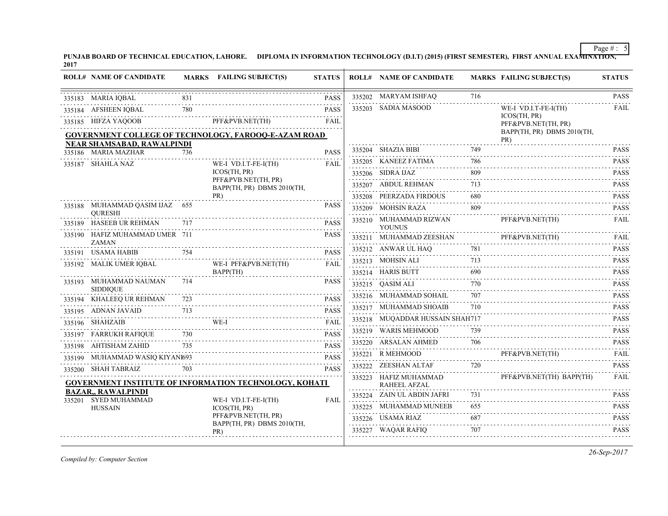**PUNJAB BOARD OF TECHNICAL EDUCATION, LAHORE. DIPLOMA IN INFORMATION TECHNOLOGY (D.I.T) (2015) (FIRST SEMESTER), FIRST ANNUAL EXAMINATION, 2017**

| <b>ROLL# NAME OF CANDIDATE</b>                    |     | MARKS FAILING SUBJECT(S)                                                                                                                                                                                                       | <b>STATUS</b> | <b>ROLL# NAME OF CANDIDATE</b>               |                     | <b>MARKS FAILING SUBJECT(S)</b>     | <b>STATUS</b>    |
|---------------------------------------------------|-----|--------------------------------------------------------------------------------------------------------------------------------------------------------------------------------------------------------------------------------|---------------|----------------------------------------------|---------------------|-------------------------------------|------------------|
| 335183 MARIA IQBAL                                | 831 |                                                                                                                                                                                                                                | <b>PASS</b>   | 335202 MARYAM ISHFAQ                         | 716                 |                                     | <b>PASS</b>      |
| 335184 AFSHEEN IQBAL                              | 780 |                                                                                                                                                                                                                                | <b>PASS</b>   | 335203 SADIA MASOOD                          |                     | WE-I VD.I.T-FE-I(TH)                | <b>FAIL</b>      |
| 335185 HIFZA YAQOOB                               |     | DB PFF&PVB.NET(TH) FAIL                                                                                                                                                                                                        |               |                                              |                     | ICOS(TH, PR)<br>PFF&PVB.NET(TH, PR) |                  |
|                                                   |     | <b>GOVERNMENT COLLEGE OF TECHNOLOGY, FAROOO-E-AZAM ROAD</b>                                                                                                                                                                    |               |                                              |                     | BAPP(TH, PR) DBMS 2010(TH,<br>PR)   |                  |
| NEAR SHAMSABAD, RAWALPINDI<br>335186 MARIA MAZHAR | 736 |                                                                                                                                                                                                                                | <b>PASS</b>   | 335204 SHAZIA BIBI                           | 749                 |                                     | <b>PASS</b>      |
| 335187 SHAHLA NAZ                                 |     | WE-I VD.I.T-FE-I(TH)                                                                                                                                                                                                           | <b>FAIL</b>   | 335205 KANEEZ FATIMA                         | 786                 |                                     | <b>PASS</b>      |
|                                                   |     | <b>ICOS(TH. PR)</b>                                                                                                                                                                                                            |               | 335206 SIDRA IJAZ                            | 809                 |                                     | <b>PASS</b>      |
|                                                   |     | PFF&PVB.NET(TH, PR)<br>BAPP(TH, PR) DBMS 2010(TH,                                                                                                                                                                              |               | 335207 ABDUL REHMAN                          | 713                 |                                     | .<br><b>PASS</b> |
|                                                   |     | PR)                                                                                                                                                                                                                            |               | 335208 PEERZADA FIRDOUS                      | 680                 |                                     | <b>PASS</b>      |
| 335188 MUHAMMAD QASIM IJAZ 655<br><b>OURESHI</b>  |     |                                                                                                                                                                                                                                | <b>PASS</b>   | 335209 MOHSIN RAZA                           | 809                 |                                     | <b>PASS</b>      |
| 335189 HASEEB UR REHMAN                           | 717 |                                                                                                                                                                                                                                | <b>PASS</b>   | 335210 MUHAMMAD RIZWAN<br><b>YOUNUS</b>      |                     | PFF&PVB.NET(TH)                     | <b>FAIL</b>      |
| 335190 HAFIZ MUHAMMAD UMER 711<br><b>ZAMAN</b>    |     |                                                                                                                                                                                                                                | <b>PASS</b>   | 335211 MUHAMMAD ZEESHAN                      |                     | PFF&PVB.NET(TH)                     | FAII.<br>.       |
| 335191 USAMA HABIB                                | 754 |                                                                                                                                                                                                                                | <b>PASS</b>   | 335212 ANWAR UL HAQ                          | 781                 |                                     | <b>PASS</b>      |
| 335192 MALIK UMER IQBAL                           |     | WE-I PFF&PVB.NET(TH)                                                                                                                                                                                                           | <b>FAIL</b>   | 335213 MOHSIN ALI                            | 713                 |                                     | <b>PASS</b><br>. |
|                                                   |     | BAPP(TH)                                                                                                                                                                                                                       |               | 335214 HARIS BUTT                            | 690                 |                                     | <b>PASS</b>      |
| 335193 MUHAMMAD NAUMAN<br><b>SIDDIOUE</b>         | 714 |                                                                                                                                                                                                                                | <b>PASS</b>   | 335215 QASIM ALI                             | 770                 |                                     | <b>PASS</b>      |
| 335194 KHALEEQ UR REHMAN                          | 723 |                                                                                                                                                                                                                                | <b>PASS</b>   | 335216 MUHAMMAD SOHAIL                       | 707                 |                                     | <b>PASS</b><br>. |
| 335195 ADNAN JAVAID                               | 713 | \\right\\sqrt{\math{\math{\math{\math{\math{\math{\math{\math{\math{\math{\math{\math{\math{\math{\math{\math{\math{\math{\math{\math{\math{\math{\math{\math{\math{\math{\math{\math{\math{\math{\math{\math{\math{\math{\mat | <b>PASS</b>   | 335217 MUHAMMAD SHOAIB                       | 710                 |                                     | <b>PASS</b>      |
| 335196 SHAHZAIB                                   |     | WE-I                                                                                                                                                                                                                           | <b>FAIL</b>   | 335218 MUQADDAR HUSSAIN SHAH717              |                     |                                     | <b>PASS</b>      |
| 335197 FARRUKH RAFIQUE                            | 730 |                                                                                                                                                                                                                                | <b>PASS</b>   | 335219 WARIS MEHMOOD                         | 739                 |                                     | <b>PASS</b><br>. |
| 335198 AHTISHAM ZAHID                             | 735 |                                                                                                                                                                                                                                | <b>PASS</b>   | 335220 ARSALAN AHMED                         | 706                 |                                     | <b>PASS</b>      |
| 335199 MUHAMMAD WASIQ KIYANI693                   |     |                                                                                                                                                                                                                                | <b>PASS</b>   | 335221 R MEHMOOD                             |                     | PFF&PVB.NET(TH)                     | FAII             |
| 335200 SHAH TABRAIZ                               | 703 |                                                                                                                                                                                                                                | <b>PASS</b>   | 335222 ZEESHAN ALTAF                         | 720                 |                                     | <b>PASS</b>      |
|                                                   |     | GOVERNMENT INSTITUTE OF INFORMATION TECHNOLOGY, KOHATI                                                                                                                                                                         |               | 335223 HAFIZ MUHAMMAD<br><b>RAHEEL AFZAL</b> |                     | PFF&PVB.NET(TH) BAPP(TH)            | <b>FAIL</b>      |
| <b>BAZAR., RAWALPINDI</b><br>335201 SYED MUHAMMAD |     | WE-I VD.I.T-FE-I(TH)                                                                                                                                                                                                           | <b>FAIL</b>   | 335224 ZAIN UL ABDIN JAFRI                   | 731                 |                                     | <b>PASS</b>      |
| <b>HUSSAIN</b>                                    |     | ICOS(TH, PR)                                                                                                                                                                                                                   |               | 335225 MUHAMMAD MUNEEB                       | 655<br>$-1 - 1 - 1$ |                                     | <b>PASS</b>      |
|                                                   |     | PFF&PVB.NET(TH, PR)<br>BAPP(TH, PR) DBMS 2010(TH,                                                                                                                                                                              |               | 335226 USAMA RIAZ                            | 687                 |                                     | <b>PASS</b><br>. |
|                                                   |     | PR)                                                                                                                                                                                                                            |               | 335227 WAQAR RAFIQ                           | 707                 |                                     | <b>PASS</b>      |
|                                                   |     |                                                                                                                                                                                                                                |               |                                              |                     |                                     |                  |

*Compiled by: Computer Section*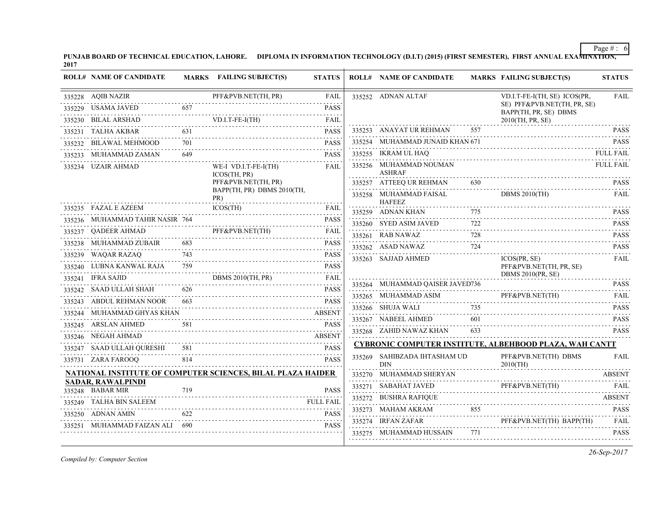**PUNJAB BOARD OF TECHNICAL EDUCATION, LAHORE. DIPLOMA IN INFORMATION TECHNOLOGY (D.I.T) (2015) (FIRST SEMESTER), FIRST ANNUAL EXAMINATION, 2017**

| 335228 AQIB NAZIR<br>PFF&PVB.NET(TH, PR)<br>335252 ADNAN ALTAF<br>FAIL<br>VD.I.T-FE-I(TH, SE) ICOS(PR,<br>SE) PFF&PVB.NET(TH, PR, SE)<br>335229 USAMA JAVED<br>657<br><b>PASS</b><br>BAPP(TH, PR, SE) DBMS<br>VD.I.T-FE-I(TH) FAIL<br>335230 BILAL ARSHAD<br>2010(TH, PR, SE)<br>.<br>335253 ANAYAT UR REHMAN<br>557<br>631<br>335231 TALHA AKBAR<br><b>PASS</b><br>335254 MUHAMMAD JUNAID KHAN 671<br>701<br><b>PASS</b><br>335232 BILAWAL MEHMOOD<br>335255 IKRAM UL HAQ<br>649<br><b>PASS</b><br>335233 MUHAMMAD ZAMAN<br>335256 MUHAMMAD NOUMAN<br>335234 UZAIR AHMAD<br>WE-I VD.I.T-FE-I(TH)<br><b>FAIL</b><br><b>ASHRAF</b><br>ICOS(TH, PR)<br>PFF&PVB.NET(TH, PR)<br>$\mathbf{R}$ $\mathbf{S}$ $\mathbf{S}$ $\mathbf{S}$ $\mathbf{S}$ $\mathbf{S}$ $\mathbf{S}$ $\mathbf{S}$ $\mathbf{S}$ $\mathbf{S}$ $\mathbf{S}$ $\mathbf{S}$ $\mathbf{S}$ $\mathbf{S}$ $\mathbf{S}$ $\mathbf{S}$ $\mathbf{S}$ $\mathbf{S}$ $\mathbf{S}$ $\mathbf{S}$ $\mathbf{S}$ $\mathbf{S}$ $\mathbf{S}$ $\mathbf{S}$ $\mathbf{$<br>335257 ATTEEQ UR REHMAN<br>BAPP(TH, PR) DBMS 2010(TH,<br><b>DBMS 2010(TH)</b><br>335258 MUHAMMAD FAISAL<br>PR)<br><b>HAFEEZ</b><br>335235 FAZAL E AZEEM<br>ICOS(TH)<br>EM ICOS(TH) FAIL<br>335259 ADNAN KHAN<br>335259 ADNAN KHAN 775 PASS<br>335236 MUHAMMAD TAHIR NASIR 764 PASS<br>335260 SYED ASIM JAVED<br>722<br>PFF&PVB.NET(TH)<br>335237 QADEER AHMAD<br>FAIL<br>728<br>335261 RAB NAWAZ<br>335261 RAB NAWAZ 728 PASS<br>335238 MUHAMMAD ZUBAIR<br><b>PASS</b><br>335262 ASAD NAWAZ<br>724<br>PASS PASS PASS PASS PASS<br>335239 WAQAR RAZAQ<br>335263 SAJJAD AHMED<br>ICOS(PR, SE)<br>335240 LUBNA KANWAL RAJA 759<br>PFF&PVB.NET(TH, PR, SE)<br><b>PASS</b><br><b>DBMS 2010(PR, SE)</b><br>D<br>DBMS 2010(TH, PR) FAIL<br>335241 IFRA SAJID<br>335264 MUHAMMAD QAISER JAVED736<br><b>PASS</b><br>626<br>335242 SAAD ULLAH SHAH<br>$626$ PASS<br>335265 MUHAMMAD ASIM PFF&PVB.NET(TH)<br><b>FAIL</b><br>335243 ABDUL REHMAN NOOR<br>DR 663 PASS<br><b>PASS</b><br>$\begin{tabular}{c} 735 \\ \hline \end{tabular} \begin{tabular}{c} \hline \textbf{735} \\ \hline \end{tabular} \begin{tabular}{c} \hline \textbf{735} \\ \hline \end{tabular} \end{tabular} \begin{tabular}{c} \hline \textbf{735} \\ \hline \end{tabular} \end{tabular} \begin{tabular}{c} \hline \textbf{735} \\ \hline \end{tabular} \end{tabular} \begin{tabular}{c} \hline \textbf{735} \\ \hline \end{tabular} \end{tabular} \begin{tabular}{c} \hline \textbf{735} \\ \hline \end{tabular}$<br>335266 SHUJA WALI<br>335244 MUHAMMAD GHYAS KHAN<br>335267 NABEEL AHMED<br>601<br><b>PASS</b><br>335267 NABEEL AHMED 601 PASS<br>335245 ARSLAN AHMED<br><u>IED 581</u> PASS<br>633<br>335268 ZAHID NAWAZ KHAN<br><b>PASS</b><br>335246 NEGAH AHMAD<br><b>CYBRONIC COMPUTER INSTITUTE, ALBEHBOOD PLAZA, WAH CANTT</b><br>335247 SAAD ULLAH QURESHI<br>H QURESHI 581 PASS<br>335269 SAHIBZADA IHTASHAM UD<br>PFF&PVB.NET(TH) DBMS<br><b>FAIL</b><br>814<br>335731 ZARA FAROOQ<br><b>PASS</b><br><b>DIN</b><br>$\frac{2010(\text{TH})}{4\text{RSENT}}$<br>NATIONAL INSTIT <u>UTE OF COMPUTER SCIENCES, BILAL PLAZA HAIDER</u><br>335270 MUHAMMAD SHERYAN ABSENT<br><b>SADAR, RAWALPINDI</b><br>AHAT JAVED PFF&PVB.NET(TH) FAIL<br>335271 SABAHAT JAVED<br>335248 BABAR MIR<br>719<br><b>PASS</b><br>335272 BUSHRA RAFIQUE<br>335249 TALHA BIN SALEEM<br><b>FULL FAIL</b><br>$\begin{tabular}{ccccc} 335273 & MAHAM AKRAM & 855 & PASS \\ \hline 335273 & IRFAN ZAFAR & & PFF&PVB.NET(TH) BAPP(TH) & FAIL \\ \end{tabular}$<br>N 622 PASS<br>335250 ADNAN AMIN<br>335251 MUHAMMAD FAIZAN ALI 690<br><b>PASS</b><br>335275 MUHAMMAD HUSSAIN 771 | <b>ROLL# NAME OF CANDIDATE</b> | MARKS FAILING SUBJECT(S) | <b>STATUS</b> | <b>ROLL# NAME OF CANDIDATE</b> | <b>MARKS FAILING SUBJECT(S)</b> | <b>STATUS</b>    |
|----------------------------------------------------------------------------------------------------------------------------------------------------------------------------------------------------------------------------------------------------------------------------------------------------------------------------------------------------------------------------------------------------------------------------------------------------------------------------------------------------------------------------------------------------------------------------------------------------------------------------------------------------------------------------------------------------------------------------------------------------------------------------------------------------------------------------------------------------------------------------------------------------------------------------------------------------------------------------------------------------------------------------------------------------------------------------------------------------------------------------------------------------------------------------------------------------------------------------------------------------------------------------------------------------------------------------------------------------------------------------------------------------------------------------------------------------------------------------------------------------------------------------------------------------------------------------------------------------------------------------------------------------------------------------------------------------------------------------------------------------------------------------------------------------------------------------------------------------------------------------------------------------------------------------------------------------------------------------------------------------------------------------------------------------------------------------------------------------------------------------------------------------------------------------------------------------------------------------------------------------------------------------------------------------------------------------------------------------------------------------------------------------------------------------------------------------------------------------------------------------------------------------------------------------------------------------------------------------------------------------------------------------------------------------------------------------------------------------------------------------------------------------------------------------------------------------------------------------------------------------------------------------------------------------------------------------------------------------------------------------------------------------------------------------------------------------------------------------------------------------------------------------------------------------------------------------------------------------------------------------------------------------------------------------------------------------------------------------------------------------------------------------------------------------------------------------------------------------------------------------------------------------------------------------------------------------------------------------------------------------------------------|--------------------------------|--------------------------|---------------|--------------------------------|---------------------------------|------------------|
|                                                                                                                                                                                                                                                                                                                                                                                                                                                                                                                                                                                                                                                                                                                                                                                                                                                                                                                                                                                                                                                                                                                                                                                                                                                                                                                                                                                                                                                                                                                                                                                                                                                                                                                                                                                                                                                                                                                                                                                                                                                                                                                                                                                                                                                                                                                                                                                                                                                                                                                                                                                                                                                                                                                                                                                                                                                                                                                                                                                                                                                                                                                                                                                                                                                                                                                                                                                                                                                                                                                                                                                                                                              |                                |                          |               |                                |                                 | <b>FAIL</b>      |
|                                                                                                                                                                                                                                                                                                                                                                                                                                                                                                                                                                                                                                                                                                                                                                                                                                                                                                                                                                                                                                                                                                                                                                                                                                                                                                                                                                                                                                                                                                                                                                                                                                                                                                                                                                                                                                                                                                                                                                                                                                                                                                                                                                                                                                                                                                                                                                                                                                                                                                                                                                                                                                                                                                                                                                                                                                                                                                                                                                                                                                                                                                                                                                                                                                                                                                                                                                                                                                                                                                                                                                                                                                              |                                |                          |               |                                |                                 |                  |
|                                                                                                                                                                                                                                                                                                                                                                                                                                                                                                                                                                                                                                                                                                                                                                                                                                                                                                                                                                                                                                                                                                                                                                                                                                                                                                                                                                                                                                                                                                                                                                                                                                                                                                                                                                                                                                                                                                                                                                                                                                                                                                                                                                                                                                                                                                                                                                                                                                                                                                                                                                                                                                                                                                                                                                                                                                                                                                                                                                                                                                                                                                                                                                                                                                                                                                                                                                                                                                                                                                                                                                                                                                              |                                |                          |               |                                |                                 |                  |
|                                                                                                                                                                                                                                                                                                                                                                                                                                                                                                                                                                                                                                                                                                                                                                                                                                                                                                                                                                                                                                                                                                                                                                                                                                                                                                                                                                                                                                                                                                                                                                                                                                                                                                                                                                                                                                                                                                                                                                                                                                                                                                                                                                                                                                                                                                                                                                                                                                                                                                                                                                                                                                                                                                                                                                                                                                                                                                                                                                                                                                                                                                                                                                                                                                                                                                                                                                                                                                                                                                                                                                                                                                              |                                |                          |               |                                |                                 | <b>PASS</b>      |
|                                                                                                                                                                                                                                                                                                                                                                                                                                                                                                                                                                                                                                                                                                                                                                                                                                                                                                                                                                                                                                                                                                                                                                                                                                                                                                                                                                                                                                                                                                                                                                                                                                                                                                                                                                                                                                                                                                                                                                                                                                                                                                                                                                                                                                                                                                                                                                                                                                                                                                                                                                                                                                                                                                                                                                                                                                                                                                                                                                                                                                                                                                                                                                                                                                                                                                                                                                                                                                                                                                                                                                                                                                              |                                |                          |               |                                |                                 | <b>PASS</b>      |
|                                                                                                                                                                                                                                                                                                                                                                                                                                                                                                                                                                                                                                                                                                                                                                                                                                                                                                                                                                                                                                                                                                                                                                                                                                                                                                                                                                                                                                                                                                                                                                                                                                                                                                                                                                                                                                                                                                                                                                                                                                                                                                                                                                                                                                                                                                                                                                                                                                                                                                                                                                                                                                                                                                                                                                                                                                                                                                                                                                                                                                                                                                                                                                                                                                                                                                                                                                                                                                                                                                                                                                                                                                              |                                |                          |               |                                |                                 |                  |
|                                                                                                                                                                                                                                                                                                                                                                                                                                                                                                                                                                                                                                                                                                                                                                                                                                                                                                                                                                                                                                                                                                                                                                                                                                                                                                                                                                                                                                                                                                                                                                                                                                                                                                                                                                                                                                                                                                                                                                                                                                                                                                                                                                                                                                                                                                                                                                                                                                                                                                                                                                                                                                                                                                                                                                                                                                                                                                                                                                                                                                                                                                                                                                                                                                                                                                                                                                                                                                                                                                                                                                                                                                              |                                |                          |               |                                |                                 | <b>FULL FAIL</b> |
|                                                                                                                                                                                                                                                                                                                                                                                                                                                                                                                                                                                                                                                                                                                                                                                                                                                                                                                                                                                                                                                                                                                                                                                                                                                                                                                                                                                                                                                                                                                                                                                                                                                                                                                                                                                                                                                                                                                                                                                                                                                                                                                                                                                                                                                                                                                                                                                                                                                                                                                                                                                                                                                                                                                                                                                                                                                                                                                                                                                                                                                                                                                                                                                                                                                                                                                                                                                                                                                                                                                                                                                                                                              |                                |                          |               |                                |                                 |                  |
|                                                                                                                                                                                                                                                                                                                                                                                                                                                                                                                                                                                                                                                                                                                                                                                                                                                                                                                                                                                                                                                                                                                                                                                                                                                                                                                                                                                                                                                                                                                                                                                                                                                                                                                                                                                                                                                                                                                                                                                                                                                                                                                                                                                                                                                                                                                                                                                                                                                                                                                                                                                                                                                                                                                                                                                                                                                                                                                                                                                                                                                                                                                                                                                                                                                                                                                                                                                                                                                                                                                                                                                                                                              |                                |                          |               |                                |                                 | FAIL             |
|                                                                                                                                                                                                                                                                                                                                                                                                                                                                                                                                                                                                                                                                                                                                                                                                                                                                                                                                                                                                                                                                                                                                                                                                                                                                                                                                                                                                                                                                                                                                                                                                                                                                                                                                                                                                                                                                                                                                                                                                                                                                                                                                                                                                                                                                                                                                                                                                                                                                                                                                                                                                                                                                                                                                                                                                                                                                                                                                                                                                                                                                                                                                                                                                                                                                                                                                                                                                                                                                                                                                                                                                                                              |                                |                          |               |                                |                                 |                  |
|                                                                                                                                                                                                                                                                                                                                                                                                                                                                                                                                                                                                                                                                                                                                                                                                                                                                                                                                                                                                                                                                                                                                                                                                                                                                                                                                                                                                                                                                                                                                                                                                                                                                                                                                                                                                                                                                                                                                                                                                                                                                                                                                                                                                                                                                                                                                                                                                                                                                                                                                                                                                                                                                                                                                                                                                                                                                                                                                                                                                                                                                                                                                                                                                                                                                                                                                                                                                                                                                                                                                                                                                                                              |                                |                          |               |                                |                                 | <b>PASS</b>      |
|                                                                                                                                                                                                                                                                                                                                                                                                                                                                                                                                                                                                                                                                                                                                                                                                                                                                                                                                                                                                                                                                                                                                                                                                                                                                                                                                                                                                                                                                                                                                                                                                                                                                                                                                                                                                                                                                                                                                                                                                                                                                                                                                                                                                                                                                                                                                                                                                                                                                                                                                                                                                                                                                                                                                                                                                                                                                                                                                                                                                                                                                                                                                                                                                                                                                                                                                                                                                                                                                                                                                                                                                                                              |                                |                          |               |                                |                                 |                  |
|                                                                                                                                                                                                                                                                                                                                                                                                                                                                                                                                                                                                                                                                                                                                                                                                                                                                                                                                                                                                                                                                                                                                                                                                                                                                                                                                                                                                                                                                                                                                                                                                                                                                                                                                                                                                                                                                                                                                                                                                                                                                                                                                                                                                                                                                                                                                                                                                                                                                                                                                                                                                                                                                                                                                                                                                                                                                                                                                                                                                                                                                                                                                                                                                                                                                                                                                                                                                                                                                                                                                                                                                                                              |                                |                          |               |                                |                                 | <b>PASS</b>      |
|                                                                                                                                                                                                                                                                                                                                                                                                                                                                                                                                                                                                                                                                                                                                                                                                                                                                                                                                                                                                                                                                                                                                                                                                                                                                                                                                                                                                                                                                                                                                                                                                                                                                                                                                                                                                                                                                                                                                                                                                                                                                                                                                                                                                                                                                                                                                                                                                                                                                                                                                                                                                                                                                                                                                                                                                                                                                                                                                                                                                                                                                                                                                                                                                                                                                                                                                                                                                                                                                                                                                                                                                                                              |                                |                          |               |                                |                                 | FAIL             |
|                                                                                                                                                                                                                                                                                                                                                                                                                                                                                                                                                                                                                                                                                                                                                                                                                                                                                                                                                                                                                                                                                                                                                                                                                                                                                                                                                                                                                                                                                                                                                                                                                                                                                                                                                                                                                                                                                                                                                                                                                                                                                                                                                                                                                                                                                                                                                                                                                                                                                                                                                                                                                                                                                                                                                                                                                                                                                                                                                                                                                                                                                                                                                                                                                                                                                                                                                                                                                                                                                                                                                                                                                                              |                                |                          |               |                                |                                 |                  |
|                                                                                                                                                                                                                                                                                                                                                                                                                                                                                                                                                                                                                                                                                                                                                                                                                                                                                                                                                                                                                                                                                                                                                                                                                                                                                                                                                                                                                                                                                                                                                                                                                                                                                                                                                                                                                                                                                                                                                                                                                                                                                                                                                                                                                                                                                                                                                                                                                                                                                                                                                                                                                                                                                                                                                                                                                                                                                                                                                                                                                                                                                                                                                                                                                                                                                                                                                                                                                                                                                                                                                                                                                                              |                                |                          |               |                                |                                 |                  |
|                                                                                                                                                                                                                                                                                                                                                                                                                                                                                                                                                                                                                                                                                                                                                                                                                                                                                                                                                                                                                                                                                                                                                                                                                                                                                                                                                                                                                                                                                                                                                                                                                                                                                                                                                                                                                                                                                                                                                                                                                                                                                                                                                                                                                                                                                                                                                                                                                                                                                                                                                                                                                                                                                                                                                                                                                                                                                                                                                                                                                                                                                                                                                                                                                                                                                                                                                                                                                                                                                                                                                                                                                                              |                                |                          |               |                                |                                 |                  |
|                                                                                                                                                                                                                                                                                                                                                                                                                                                                                                                                                                                                                                                                                                                                                                                                                                                                                                                                                                                                                                                                                                                                                                                                                                                                                                                                                                                                                                                                                                                                                                                                                                                                                                                                                                                                                                                                                                                                                                                                                                                                                                                                                                                                                                                                                                                                                                                                                                                                                                                                                                                                                                                                                                                                                                                                                                                                                                                                                                                                                                                                                                                                                                                                                                                                                                                                                                                                                                                                                                                                                                                                                                              |                                |                          |               |                                |                                 |                  |
|                                                                                                                                                                                                                                                                                                                                                                                                                                                                                                                                                                                                                                                                                                                                                                                                                                                                                                                                                                                                                                                                                                                                                                                                                                                                                                                                                                                                                                                                                                                                                                                                                                                                                                                                                                                                                                                                                                                                                                                                                                                                                                                                                                                                                                                                                                                                                                                                                                                                                                                                                                                                                                                                                                                                                                                                                                                                                                                                                                                                                                                                                                                                                                                                                                                                                                                                                                                                                                                                                                                                                                                                                                              |                                |                          |               |                                |                                 |                  |
|                                                                                                                                                                                                                                                                                                                                                                                                                                                                                                                                                                                                                                                                                                                                                                                                                                                                                                                                                                                                                                                                                                                                                                                                                                                                                                                                                                                                                                                                                                                                                                                                                                                                                                                                                                                                                                                                                                                                                                                                                                                                                                                                                                                                                                                                                                                                                                                                                                                                                                                                                                                                                                                                                                                                                                                                                                                                                                                                                                                                                                                                                                                                                                                                                                                                                                                                                                                                                                                                                                                                                                                                                                              |                                |                          |               |                                |                                 |                  |
|                                                                                                                                                                                                                                                                                                                                                                                                                                                                                                                                                                                                                                                                                                                                                                                                                                                                                                                                                                                                                                                                                                                                                                                                                                                                                                                                                                                                                                                                                                                                                                                                                                                                                                                                                                                                                                                                                                                                                                                                                                                                                                                                                                                                                                                                                                                                                                                                                                                                                                                                                                                                                                                                                                                                                                                                                                                                                                                                                                                                                                                                                                                                                                                                                                                                                                                                                                                                                                                                                                                                                                                                                                              |                                |                          |               |                                |                                 |                  |
|                                                                                                                                                                                                                                                                                                                                                                                                                                                                                                                                                                                                                                                                                                                                                                                                                                                                                                                                                                                                                                                                                                                                                                                                                                                                                                                                                                                                                                                                                                                                                                                                                                                                                                                                                                                                                                                                                                                                                                                                                                                                                                                                                                                                                                                                                                                                                                                                                                                                                                                                                                                                                                                                                                                                                                                                                                                                                                                                                                                                                                                                                                                                                                                                                                                                                                                                                                                                                                                                                                                                                                                                                                              |                                |                          |               |                                |                                 |                  |
|                                                                                                                                                                                                                                                                                                                                                                                                                                                                                                                                                                                                                                                                                                                                                                                                                                                                                                                                                                                                                                                                                                                                                                                                                                                                                                                                                                                                                                                                                                                                                                                                                                                                                                                                                                                                                                                                                                                                                                                                                                                                                                                                                                                                                                                                                                                                                                                                                                                                                                                                                                                                                                                                                                                                                                                                                                                                                                                                                                                                                                                                                                                                                                                                                                                                                                                                                                                                                                                                                                                                                                                                                                              |                                |                          |               |                                |                                 |                  |
|                                                                                                                                                                                                                                                                                                                                                                                                                                                                                                                                                                                                                                                                                                                                                                                                                                                                                                                                                                                                                                                                                                                                                                                                                                                                                                                                                                                                                                                                                                                                                                                                                                                                                                                                                                                                                                                                                                                                                                                                                                                                                                                                                                                                                                                                                                                                                                                                                                                                                                                                                                                                                                                                                                                                                                                                                                                                                                                                                                                                                                                                                                                                                                                                                                                                                                                                                                                                                                                                                                                                                                                                                                              |                                |                          |               |                                |                                 |                  |
|                                                                                                                                                                                                                                                                                                                                                                                                                                                                                                                                                                                                                                                                                                                                                                                                                                                                                                                                                                                                                                                                                                                                                                                                                                                                                                                                                                                                                                                                                                                                                                                                                                                                                                                                                                                                                                                                                                                                                                                                                                                                                                                                                                                                                                                                                                                                                                                                                                                                                                                                                                                                                                                                                                                                                                                                                                                                                                                                                                                                                                                                                                                                                                                                                                                                                                                                                                                                                                                                                                                                                                                                                                              |                                |                          |               |                                |                                 |                  |
|                                                                                                                                                                                                                                                                                                                                                                                                                                                                                                                                                                                                                                                                                                                                                                                                                                                                                                                                                                                                                                                                                                                                                                                                                                                                                                                                                                                                                                                                                                                                                                                                                                                                                                                                                                                                                                                                                                                                                                                                                                                                                                                                                                                                                                                                                                                                                                                                                                                                                                                                                                                                                                                                                                                                                                                                                                                                                                                                                                                                                                                                                                                                                                                                                                                                                                                                                                                                                                                                                                                                                                                                                                              |                                |                          |               |                                |                                 | <b>ABSENT</b>    |
|                                                                                                                                                                                                                                                                                                                                                                                                                                                                                                                                                                                                                                                                                                                                                                                                                                                                                                                                                                                                                                                                                                                                                                                                                                                                                                                                                                                                                                                                                                                                                                                                                                                                                                                                                                                                                                                                                                                                                                                                                                                                                                                                                                                                                                                                                                                                                                                                                                                                                                                                                                                                                                                                                                                                                                                                                                                                                                                                                                                                                                                                                                                                                                                                                                                                                                                                                                                                                                                                                                                                                                                                                                              |                                |                          |               |                                |                                 |                  |
|                                                                                                                                                                                                                                                                                                                                                                                                                                                                                                                                                                                                                                                                                                                                                                                                                                                                                                                                                                                                                                                                                                                                                                                                                                                                                                                                                                                                                                                                                                                                                                                                                                                                                                                                                                                                                                                                                                                                                                                                                                                                                                                                                                                                                                                                                                                                                                                                                                                                                                                                                                                                                                                                                                                                                                                                                                                                                                                                                                                                                                                                                                                                                                                                                                                                                                                                                                                                                                                                                                                                                                                                                                              |                                |                          |               |                                |                                 |                  |
|                                                                                                                                                                                                                                                                                                                                                                                                                                                                                                                                                                                                                                                                                                                                                                                                                                                                                                                                                                                                                                                                                                                                                                                                                                                                                                                                                                                                                                                                                                                                                                                                                                                                                                                                                                                                                                                                                                                                                                                                                                                                                                                                                                                                                                                                                                                                                                                                                                                                                                                                                                                                                                                                                                                                                                                                                                                                                                                                                                                                                                                                                                                                                                                                                                                                                                                                                                                                                                                                                                                                                                                                                                              |                                |                          |               |                                |                                 | <b>PASS</b>      |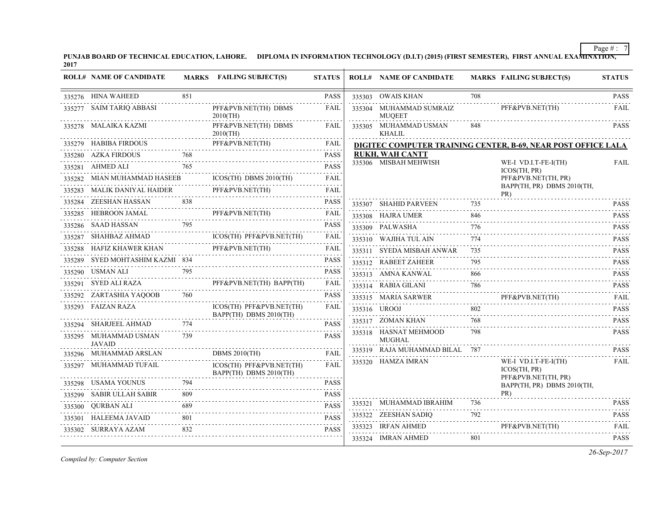**PUNJAB BOARD OF TECHNICAL EDUCATION, LAHORE. DIPLOMA IN INFORMATION TECHNOLOGY (D.I.T) (2015) (FIRST SEMESTER), FIRST ANNUAL EXAMINATION, 2017**

|        | <b>ROLL# NAME OF CANDIDATE</b>         |     | MARKS FAILING SUBJECT(S)                                      | <b>STATUS</b>            | <b>ROLL# NAME OF CANDIDATE</b>           |          | <b>MARKS FAILING SUBJECT(S)</b>                               | <b>STATUS</b>                                                                                                                                                                               |
|--------|----------------------------------------|-----|---------------------------------------------------------------|--------------------------|------------------------------------------|----------|---------------------------------------------------------------|---------------------------------------------------------------------------------------------------------------------------------------------------------------------------------------------|
|        | 335276 HINA WAHEED                     | 851 |                                                               | <b>PASS</b>              | 335303 OWAIS KHAN                        | 708      |                                                               | <b>PASS</b>                                                                                                                                                                                 |
|        | 335277 SAIM TARIQ ABBASI               |     | PFF&PVB.NET(TH) DBMS<br>$2010$ (TH)                           | FAIL                     | 335304 MUHAMMAD SUMRAIZ<br><b>MUOEET</b> |          | PFF&PVB.NET(TH)                                               | FAIL                                                                                                                                                                                        |
|        | 335278 MALAIKA KAZMI                   |     | PFF&PVB.NET(TH) DBMS<br>$2010$ (TH)                           | FAIL                     | 335305 MUHAMMAD USMAN<br>KHALIL          | 848      |                                                               | <b>PASS</b>                                                                                                                                                                                 |
|        | 335279 HABIBA FIRDOUS                  |     | PFF&PVB.NET(TH)                                               | FAIL                     |                                          |          | DIGITEC COMPUTER TRAINING CENTER, B-69, NEAR POST OFFICE LALA |                                                                                                                                                                                             |
|        | 335280 AZKA FIRDOUS                    |     | FIRDOUS 768                                                   | <b>PASS</b><br>.         | <b>RUKH, WAH CANTT</b>                   |          |                                                               |                                                                                                                                                                                             |
|        | 335281 AHMED ALI                       | 765 |                                                               | <b>PASS</b>              | 335306 MISBAH MEHWISH                    |          | WE-I VD.I.T-FE-I(TH)<br>ICOS(TH, PR)                          | <b>FAIL</b>                                                                                                                                                                                 |
|        | 335282 MIAN MUHAMMAD HASEEB            |     | $ICOS(TH)$ DBMS $2010(TH)$<br>. <i>.</i>                      | FAIL                     |                                          |          | PFF&PVB.NET(TH, PR)                                           |                                                                                                                                                                                             |
| 335283 | MALIK DANIYAL HAIDER                   |     | PFF&PVB.NET(TH)                                               | FAIL                     |                                          |          | BAPP(TH, PR) DBMS 2010(TH,<br>PR)                             |                                                                                                                                                                                             |
|        | 335284 ZEESHAN HASSAN                  | 838 |                                                               | <b>PASS</b>              | 335307 SHAHID PARVEEN                    | 735      |                                                               | <b>PASS</b>                                                                                                                                                                                 |
|        | 335285 HEBROON JAMAL                   |     | PFF&PVB.NET(TH)                                               | FAIL                     | 335308 HAJRA UMER                        | 846      |                                                               | <b>PASS</b>                                                                                                                                                                                 |
|        |                                        |     |                                                               | <b>PASS</b><br>2.2.2.2.2 | 335309 PALWASHA                          | 776      | rado <i>rado</i>                                              | <b>PASS</b>                                                                                                                                                                                 |
|        | 335287 SHAHBAZ AHMAD                   |     | ICOS(TH) PFF&PVB.NET(TH)                                      | FAIL                     | 335310 WAJIHA TUL AIN                    | 774      |                                                               | <b>PASS</b>                                                                                                                                                                                 |
|        | 335288 HAFIZ KHAWER KHAN               |     | PFF&PVB.NET(TH)<br><b>x khan</b> PFF <b>&amp;PVB.NET</b> (TH) | FAIL                     | 335311 SYEDA MISBAH ANWAR                | 735      |                                                               | .<br><b>PASS</b>                                                                                                                                                                            |
|        | 335289 SYED MOHTASHIM KAZMI 834        |     |                                                               | <b>PASS</b>              | 335312 RABEET ZAHEER                     | 795      |                                                               | <b>PASS</b>                                                                                                                                                                                 |
|        | 335290 USMAN ALI                       | 795 |                                                               | <b>PASS</b>              | 335313 AMNA KANWAL                       | 866      |                                                               | <b>PASS</b>                                                                                                                                                                                 |
|        |                                        |     | 335291 SYED ALI RAZA PFF&PVB.NET(TH) BAPP(TH)                 | FAIL                     | 335314 RABIA GILANI                      | 786      |                                                               | $\mathcal{L}^{\mathcal{A}}\left( \mathcal{L}^{\mathcal{A}}\left( \mathcal{L}^{\mathcal{A}}\right) \right) =\mathcal{L}^{\mathcal{A}}\left( \mathcal{L}^{\mathcal{A}}\right)$<br><b>PASS</b> |
|        | 335292 ZARTASHIA YAQOOB 760            |     |                                                               | <b>PASS</b>              | 335315 MARIA SARWER                      |          | PFF&PVB.NET(TH)                                               | <b>FAIL</b>                                                                                                                                                                                 |
|        | 335293 FAIZAN RAZA                     |     | ICOS(TH) PFF&PVB.NET(TH)                                      | FAIL                     | 335316 UROOJ                             | 802<br>. |                                                               | 1.1.1.1.1.1<br><b>PASS</b>                                                                                                                                                                  |
|        | 335294 SHARJEEL AHMAD                  | 774 | BAPP(TH) DBMS 2010(TH)                                        | <b>PASS</b>              | 335317 ZOMAN KHAN                        | 768      |                                                               | $\sim$ $\sim$ $\sim$ $\sim$ $\sim$ $\sim$<br><b>PASS</b>                                                                                                                                    |
|        | 335295 MUHAMMAD USMAN<br><b>JAVAID</b> | 739 |                                                               | <b>PASS</b>              | 335318 HASNAT MEHMOOD<br><b>MUGHAL</b>   | 798      |                                                               | <b>PASS</b>                                                                                                                                                                                 |
|        | 335296 MUHAMMAD ARSLAN                 |     | <b>DBMS 2010(TH)</b>                                          | <b>FAIL</b>              | 335319 RAJA MUHAMMAD BILAL 787           |          |                                                               | <b>PASS</b>                                                                                                                                                                                 |
|        | 335297 MUHAMMAD TUFAIL                 |     | ICOS(TH) PFF&PVB.NET(TH)<br>BAPP(TH) DBMS 2010(TH)            | <b>FAIL</b>              | 335320 HAMZA IMRAN                       |          | WE-I VD.I.T-FE-I(TH)<br>ICOS(TH, PR)                          | <b>FAIL</b>                                                                                                                                                                                 |
|        | 335298 USAMA YOUNUS                    | 794 |                                                               | <b>PASS</b>              |                                          |          | PFF&PVB.NET(TH, PR)<br>BAPP(TH, PR) DBMS 2010(TH,             |                                                                                                                                                                                             |
|        | 335299 SABIR ULLAH SABIR               |     |                                                               | <b>PASS</b>              |                                          |          | $PR$ )                                                        |                                                                                                                                                                                             |
|        | 335300 QURBAN ALI                      |     |                                                               | <b>PASS</b>              | 335321 MUHAMMAD IBRAHIM                  | 736      |                                                               | <b>PASS</b>                                                                                                                                                                                 |
| 335301 | HALEEMA JAVAID                         | 801 |                                                               | <b>PASS</b>              | 335322 ZEESHAN SADIO                     | 792      |                                                               | <b>PASS</b>                                                                                                                                                                                 |
|        | 335302 SURRAYA AZAM                    | 832 |                                                               | <b>PASS</b>              | 335323 IRFAN AHMED                       |          | PFF&PVB.NET(TH)                                               | <b>FAIL</b>                                                                                                                                                                                 |
|        |                                        |     |                                                               |                          | 335324 IMRAN AHMED                       | 801      |                                                               | <b>PASS</b>                                                                                                                                                                                 |

*Compiled by: Computer Section*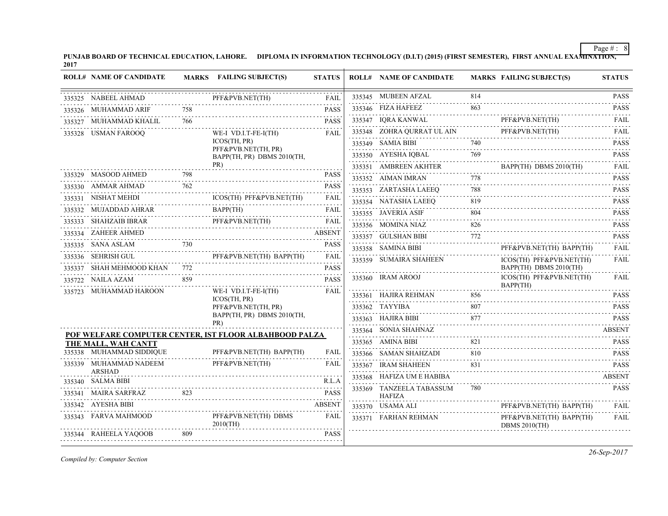**PUNJAB BOARD OF TECHNICAL EDUCATION, LAHORE. DIPLOMA IN INFORMATION TECHNOLOGY (D.I.T) (2015) (FIRST SEMESTER), FIRST ANNUAL EXAMINATION, 2017**  $\overline{1}$ 

| <b>ROLL# NAME OF CANDIDATE</b>             |     | MARKS FAILING SUBJECT(S)                               | <b>STATUS</b>    | <b>ROLL# NAME OF CANDIDATE</b>            |     | <b>MARKS FAILING SUBJECT(S)</b>                                                  | <b>STATUS</b>              |
|--------------------------------------------|-----|--------------------------------------------------------|------------------|-------------------------------------------|-----|----------------------------------------------------------------------------------|----------------------------|
| 335325 NABEEL AHMAD                        |     | PFF&PVB.NET(TH)                                        | <b>FAIL</b>      | 335345 MUBEEN AFZAL                       | 814 |                                                                                  | <b>PASS</b>                |
| 335326 MUHAMMAD ARIF                       |     |                                                        | <b>PASS</b>      | 335346 FIZA HAFEEZ                        | 863 |                                                                                  | <b>PASS</b><br>.           |
| 335327 MUHAMMAD KHALIL                     | 766 |                                                        | <b>PASS</b>      | 335347 IQRA KANWAL                        |     | PFF&PVB.NET(TH)<br>ANWAL PFF&PVB.NET(TH) FAIL                                    | FAII.                      |
| 335328 USMAN FAROOQ                        |     | WE-I VD.I.T-FE-I(TH)                                   | FAIL             | 335348 ZOHRA QURRAT UL AIN                |     | PFF&PVB.NET(TH)<br>PFF&PVB.NET(TH)                                               | <b>FAIL</b>                |
|                                            |     | ICOS(TH, PR)<br>PFF&PVB.NET(TH, PR)                    |                  | 335349 SAMIA BIBI                         | 740 |                                                                                  | <b>PASS</b><br>.           |
|                                            |     | BAPP(TH, PR) DBMS 2010(TH,                             |                  |                                           |     | 335350 AYESHA IQBAL $769$ PASS                                                   |                            |
|                                            |     | PR)                                                    |                  | 335351 AMBREEN AKHTER                     |     | BAPP(TH) DBMS 2010(TH)                                                           | <b>FAIL</b>                |
| 335329 MASOOD AHMED                        |     | SOOD AHMED 798                                         | <b>PASS</b><br>. | 335352 AIMAN IMRAN                        | 778 |                                                                                  | <b>PASS</b><br>.           |
| 335330 AMMAR AHMAD                         | 762 |                                                        | <b>PASS</b>      | 335353 ZARTASHA LAEEQ                     | 788 |                                                                                  | <b>PASS</b>                |
| 335331 NISHAT MEHDI                        |     | ICOS(TH) PFF&PVB.NET(TH)                               | <b>FAIL</b>      | 335354 NATASHA LAEEQ                      | 819 |                                                                                  | <b>PASS</b>                |
|                                            |     | 335332 MUJADDAD AHRAR BAPP(TH) FAIL                    |                  | 335355 JAVERIA ASIF                       | 804 |                                                                                  | <b>PASS</b>                |
| 335333 SHAHZAIB IBRAR                      |     | B IBRAR PFF&PVB.NET(TH)                                | <b>FAIL</b>      | 335356 MOMINA NIAZ                        | 826 |                                                                                  | <b>PASS</b>                |
| 335334 ZAHEER AHMED                        |     |                                                        | <b>ABSENT</b>    | 335357 GULSHAN BIBI                       | 772 |                                                                                  | 1.1.1.1.1.1<br><b>PASS</b> |
|                                            |     | 335335 SANA ASLAM 730 PASS                             |                  | 335358 SAMINA BIBI                        |     | PFF&PVB.NET(TH) BAPP(TH)                                                         | <b>FAIL</b>                |
| 335336 SEHRISH GUL                         |     | PFF&PVB.NET(TH) BAPP(TH)                               | <b>FAIL</b>      | 335359 SUMAIRA SHAHEEN                    |     | ICOS(TH) PFF&PVB.NET(TH)                                                         | FAIL                       |
| 335337 SHAH MEHMOOD KHAN 772               |     |                                                        | <b>PASS</b>      |                                           |     | BAPP(TH) DBMS 2010(TH)                                                           |                            |
| 335722 NAILA AZAM                          | 859 |                                                        | <b>PASS</b>      | 335360 IRAM AROOJ                         |     | ICOS(TH) PFF&PVB.NET(TH)<br>BAPP(TH)                                             | FAIL                       |
| 335723 MUHAMMAD HAROON                     |     | WE-I VD.I.T-FE-I(TH)<br>ICOS(TH, PR)                   | FAIL             |                                           |     | $\begin{tabular}{ll} 335361 & HAIIRA REHMAN & 856 & \textbf{PASS} \end{tabular}$ |                            |
|                                            |     | PFF&PVB.NET(TH, PR)                                    |                  | 335362 TAYYIBA                            | 807 |                                                                                  | <b>PASS</b>                |
|                                            |     | BAPP(TH, PR) DBMS 2010(TH,<br>PR)                      |                  | 335363 HAJIRA BIBI                        |     | IBI 		 877 		 PASS                                                               | <b>PASS</b>                |
|                                            |     | POF WELFARE COMPUTER CENTER, IST FLOOR ALBAHBOOD PALZA |                  | 335364 SONIA SHAHNAZ                      |     |                                                                                  | <b>ABSENT</b>              |
| THE MALL, WAH CANTT                        |     |                                                        |                  | 335365 AMINA BIBI                         | 821 |                                                                                  | <b>PASS</b>                |
| 335338 MUHAMMAD SIDDIQUE<br>AD SIDDIQUE PF |     | PFF&PVB.NET(TH) BAPP(TH)                               | <b>FAIL</b>      | 335366 SAMAN SHAHZADI                     | 810 |                                                                                  | <b>PASS</b>                |
| 335339 MUHAMMAD NADEEM                     |     | PFF&PVB.NET(TH)                                        | FAIL             | 335367 IRAM SHAHEEN                       |     | $831 \qquad \qquad \text{PASS}$                                                  |                            |
| <b>ARSHAD</b><br>335340 SALMA BIBI         |     |                                                        | R.L.A            | 335368 HAFIZA UM E HABIBA                 |     |                                                                                  | <b>ABSENT</b>              |
| 335341 MAIRA SARFRAZ                       | 823 |                                                        | <b>PASS</b>      | 335369 TANZEELA TABASSUM<br><b>HAFIZA</b> | 780 |                                                                                  | <b>PASS</b>                |
| 335342 AYESHA BIBI                         |     |                                                        | <b>ABSENT</b>    | 335370 USAMA ALI                          |     | PFF&PVB.NET(TH) BAPP(TH)                                                         | FAII.                      |
| 335343 FARVA MAHMOOD                       |     | PFF&PVB.NET(TH) DBMS<br>$2010$ (TH)                    | FAIL             | 335371 FARHAN REHMAN                      |     | PFF&PVB.NET(TH) BAPP(TH)<br><b>DBMS 2010(TH)</b>                                 | FAIL                       |
| 335344 RAHEELA YAQOOB                      | 809 |                                                        | <b>PASS</b>      |                                           |     |                                                                                  |                            |
|                                            |     |                                                        |                  |                                           |     |                                                                                  |                            |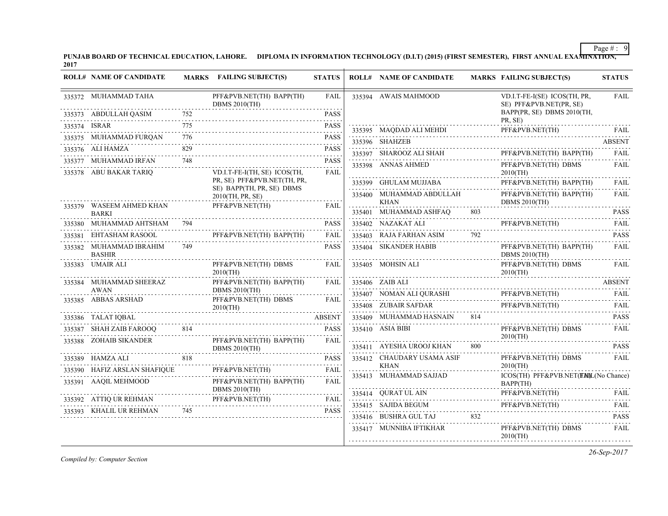**PUNJAB BOARD OF TECHNICAL EDUCATION, LAHORE. DIPLOMA IN INFORMATION TECHNOLOGY (D.I.T) (2015) (FIRST SEMESTER), FIRST ANNUAL EXAMINATION, 2017**

| <b>ROLL# NAME OF CANDIDATE</b>                   |          | MARKS FAILING SUBJECT(S)                                    | <b>STATUS</b>    | <b>ROLL# NAME OF CANDIDATE</b>          |     | <b>MARKS FAILING SUBJECT(S)</b>                                 | <b>STATUS</b> |
|--------------------------------------------------|----------|-------------------------------------------------------------|------------------|-----------------------------------------|-----|-----------------------------------------------------------------|---------------|
| 335372 MUHAMMAD TAHA                             |          | PFF&PVB.NET(TH) BAPP(TH)<br><b>DBMS 2010(TH)</b><br>.       | FAIL             | 335394 AWAIS MAHMOOD                    |     | VD.I.T-FE-I(SE) ICOS(TH, PR,<br>SE) PFF&PVB.NET(PR, SE)         | <b>FAIL</b>   |
| 335373 ABDULLAH QASIM<br>3 ADDULLAH QADIM (2001) | 752      |                                                             | <b>PASS</b>      |                                         |     | BAPP(PR, SE) DBMS 2010(TH,<br>PR, SE)                           |               |
| 335374 ISRAR                                     | 775      |                                                             | <b>PASS</b>      |                                         |     | PFF&PVB.NET(TH)<br>335395 MAQDAD ALI MEHDI PFF&PVB.NET(TH) FAIL |               |
| 335375 MUHAMMAD FURQAN<br>.                      | 776      |                                                             | <b>PASS</b>      | 335396 SHAHZEB                          |     |                                                                 | <b>ABSENT</b> |
| 335376 ALI HAMZA                                 | 829      |                                                             | <b>PASS</b>      | 335397 SHAROOZ ALI SHAH                 |     | PFF&PVB.NET(TH) BAPP(TH)                                        | FAIL          |
| 335377 MUHAMMAD IRFAN                            | 748      |                                                             | <b>PASS</b>      | 335398 ANNAS AHMED                      |     | PFF&PVB.NET(TH) DBMS                                            | <b>FAIL</b>   |
| 335378 ABU BAKAR TARIQ                           |          | VD.I.T-FE-I(TH, SE) ICOS(TH,<br>PR, SE) PFF&PVB.NET(TH, PR, | <b>FAIL</b>      |                                         |     | $2010$ (TH)                                                     |               |
|                                                  |          | SE) BAPP(TH, PR, SE) DBMS                                   |                  | 335399 GHULAM MUJJABA                   |     | PFF&PVB.NET(TH) BAPP(TH)                                        | FAII.         |
|                                                  |          | 2010(TH, PR, SE)                                            |                  | 335400 MUHAMMAD ABDULLAH<br><b>KHAN</b> |     | PFF&PVB.NET(TH) BAPP(TH)<br><b>DBMS 2010(TH)</b>                | FAIL          |
| 335379 WASEEM AHMED KHAN<br><b>BARKI</b>         |          | PFF&PVB.NET(TH)                                             | FAIL             | 335401 MUHAMMAD ASHFAQ                  | 803 |                                                                 | <b>PASS</b>   |
| 335380 MUHAMMAD AHTSHAM 794                      |          |                                                             | <b>PASS</b>      | 335402 NAZAKAT ALI                      |     | PFF&PVB.NET(TH)                                                 | <b>FAIL</b>   |
| 335381 EHTASHAM RASOOL                           |          | PFF&PVB.NET(TH) BAPP(TH)                                    | FAIL             | 335403 RAJA FARHAN ASIM                 |     |                                                                 | <b>PASS</b>   |
| 335382 MUHAMMAD IBRAHIM<br><b>BASHIR</b>         | 749      |                                                             | <b>PASS</b>      | 335404 SIKANDER HABIB                   |     | PFF&PVB.NET(TH) BAPP(TH)<br><b>DBMS 2010(TH)</b>                | <b>FAIL</b>   |
| 335383 UMAIR ALI                                 |          | PFF&PVB.NET(TH) DBMS<br>$2010$ (TH)                         | FAIL             | 335405 MOHSIN ALI                       |     | PFF&PVB.NET(TH) DBMS<br>$2010$ (TH)                             | FAII.         |
| 335384 MUHAMMAD SHEERAZ                          |          | PFF&PVB.NET(TH) BAPP(TH)                                    | FAIL             | 335406 ZAIB ALI                         |     |                                                                 | <b>ABSENT</b> |
| AWAN<br>335385 ABBAS ARSHAD                      |          | <b>DBMS 2010(TH)</b><br>PFF&PVB.NET(TH) DBMS                | FAIL             |                                         |     | PFF&PVB.NET(TH)                                                 | FAIL          |
|                                                  |          | $2010$ (TH)                                                 |                  |                                         |     | 335408 ZUBAIR SAFDAR PFF&PVB.NET(TH) FAIL                       |               |
| 335386 TALAT IQBAL                               |          |                                                             | <b>ABSENT</b>    | 335409 MUHAMMAD HASNAIN 814             |     |                                                                 | <b>PASS</b>   |
| 335387 SHAH ZAIB FAROOQ                          | 814<br>. |                                                             | <b>PASS</b>      | 335410 ASIA BIBI                        |     | PFF&PVB.NET(TH) DBMS<br>$2010$ (TH)                             | FAIL          |
| 335388 ZOHAIB SIKANDER                           |          | PFF&PVB.NET(TH) BAPP(TH)<br><b>DBMS 2010(TH)</b>            | FAIL             | 335411 AYESHA UROOJ KHAN                | 800 |                                                                 | <b>PASS</b>   |
| 335389 HAMZA ALI                                 | 818      | 35389 HAMZA ALI 818 PASS                                    | <b>PASS</b>      | 335412 CHAUDARY USAMA ASIF              |     | PFF&PVB.NET(TH) DBMS                                            | <b>FAIL</b>   |
| 335390 HAFIZ ARSLAN SHAFIQUE<br>SHAFIQUE         |          | PFF&PVB.NET(TH)                                             | <b>FAIL</b><br>. | KHAN<br>.<br>335413 MUHAMMAD SAJJAD     |     | $2010$ (TH)<br>ICOS(TH) PFF&PVB.NET(FINIL(No Chance)            |               |
| 335391 AAQIL MEHMOOD                             |          | PFF&PVB.NET(TH) BAPP(TH)<br><b>DBMS 2010(TH)</b>            | FAIL             |                                         |     | BAPP(TH)                                                        |               |
| 335392 ATTIQ UR REHMAN                           |          | .<br>PFF&PVB.NET(TH)                                        | FAIL             | 335414 QURAT UL AIN                     |     | PFF&PVB.NET(TH)<br>335414 QURAT UL AIN PFF&PVB.NET(TH) FAIL     |               |
| 335393 KHALIL UR REHMAN 745                      |          | N PFF&PVB.NET(TH) FAIL                                      | <b>PASS</b>      |                                         |     | 335415 SAJIDA BEGUM PFF&PVB.NET(TH)                             | FAII.         |
|                                                  |          |                                                             |                  | 335416 BUSHRA GUL TAJ                   | 832 |                                                                 | <b>PASS</b>   |
|                                                  |          |                                                             |                  | 335417 MUNNIBA IFTIKHAR                 |     | PFF&PVB.NET(TH) DBMS<br>$2010$ (TH)                             | FAIL          |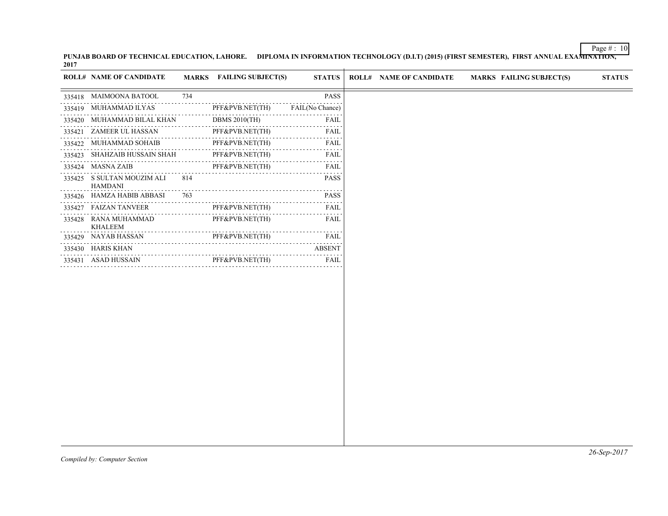**PUNJAB BOARD OF TECHNICAL EDUCATION, LAHORE. DIPLOMA IN INFORMATION TECHNOLOGY (D.I.T) (2015) (FIRST SEMESTER), FIRST ANNUAL EXAMINATION, 2017**

|        | <b>ROLL# NAME OF CANDIDATE</b>               |     | <b>MARKS</b> FAILING SUBJECT(S) | <b>STATUS</b>                                                                                                                                                | <b>ROLL# NAME OF CANDIDATE</b> | <b>MARKS FAILING SUBJECT(S)</b> | <b>STATUS</b> |
|--------|----------------------------------------------|-----|---------------------------------|--------------------------------------------------------------------------------------------------------------------------------------------------------------|--------------------------------|---------------------------------|---------------|
|        | 335418 MAIMOONA BATOOL                       | 734 |                                 | PASS                                                                                                                                                         |                                |                                 |               |
| 335419 | MUHAMMAD ILYAS                               |     | PFF&PVB.NET(TH)                 | FAIL(No Chance)                                                                                                                                              |                                |                                 |               |
| 335420 | MUHAMMAD BILAL KHAN                          |     | DBMS $2010$ (TH)                | FAIL                                                                                                                                                         |                                |                                 |               |
|        | 335421 ZAMEER UL HASSAN                      |     | PFF&PVB.NET(TH)                 | FAIL<br>$\alpha$ is a set                                                                                                                                    |                                |                                 |               |
|        | 335422 MUHAMMAD SOHAIB                       |     | PFF&PVB.NET(TH)                 | FAIL                                                                                                                                                         |                                |                                 |               |
| 335423 | SHAHZAIB HUSSAIN SHAH                        |     | PFF&PVB.NET(TH)                 | FAIL                                                                                                                                                         |                                |                                 |               |
| 335424 | <b>MASNA ZAIB</b>                            |     | PFF&PVB.NET(TH)                 | FAIL                                                                                                                                                         |                                |                                 |               |
|        | 335425 S SULTAN MOUZIM ALI<br><b>HAMDANI</b> | 814 |                                 | <b>PASS</b>                                                                                                                                                  |                                |                                 |               |
| 335426 | HAMZA HABIB ABBASI                           | 763 |                                 | <b>PASS</b><br>.                                                                                                                                             |                                |                                 |               |
| 335427 | <b>FAIZAN TANVEER</b>                        |     | PFF&PVB.NET(TH)                 | FAIL                                                                                                                                                         |                                |                                 |               |
| 335428 | RANA MUHAMMAD<br><b>KHALEEM</b>              | .   | PFF&PVB.NET(TH)                 | FAIL<br>$\sim$ $\sim$ $\sim$ $\sim$                                                                                                                          |                                |                                 |               |
| 335429 | NAYAB HASSAN                                 |     | PFF&PVB.NET(TH)<br>.            | FAIL<br>$\frac{1}{2} \left( \frac{1}{2} \right) \left( \frac{1}{2} \right) \left( \frac{1}{2} \right) \left( \frac{1}{2} \right) \left( \frac{1}{2} \right)$ |                                |                                 |               |
| 335430 | HARIS KHAN                                   |     | .                               | ABSENT                                                                                                                                                       |                                |                                 |               |
|        | 335431 ASAD HUSSAIN                          |     | PFF&PVB.NET(TH)                 | FAIL                                                                                                                                                         |                                |                                 |               |
|        |                                              |     |                                 |                                                                                                                                                              |                                |                                 |               |
|        |                                              |     |                                 |                                                                                                                                                              |                                |                                 |               |
|        |                                              |     |                                 |                                                                                                                                                              |                                |                                 |               |
|        |                                              |     |                                 |                                                                                                                                                              |                                |                                 |               |
|        |                                              |     |                                 |                                                                                                                                                              |                                |                                 |               |
|        |                                              |     |                                 |                                                                                                                                                              |                                |                                 |               |
|        |                                              |     |                                 |                                                                                                                                                              |                                |                                 |               |
|        |                                              |     |                                 |                                                                                                                                                              |                                |                                 |               |
|        |                                              |     |                                 |                                                                                                                                                              |                                |                                 |               |
|        |                                              |     |                                 |                                                                                                                                                              |                                |                                 |               |
|        |                                              |     |                                 |                                                                                                                                                              |                                |                                 |               |
|        |                                              |     |                                 |                                                                                                                                                              |                                |                                 |               |
|        |                                              |     |                                 |                                                                                                                                                              |                                |                                 | $26-Sen-2017$ |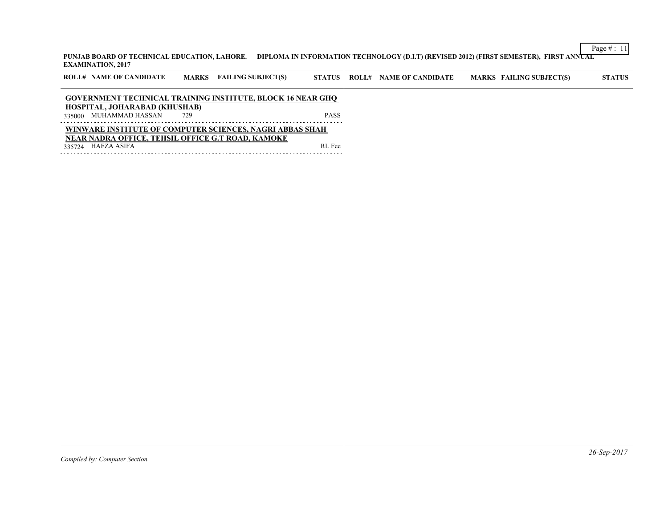## Page # : 11 **PUNJAB BOARD OF TECHNICAL EDUCATION, LAHORE. DIPLOMA IN INFORMATION TECHNOLOGY (D.I.T) (REVISED 2012) (FIRST SEMESTER), FIRST ANNUAL EXAMINATION, 2017**

| <b>ROLL# NAME OF CANDIDATE</b>                                                                                       |     | <b>MARKS</b> FAILING SUBJECT(S) | STATUS    | <b>ROLL# NAME OF CANDIDATE</b> | <b>MARKS FAILING SUBJECT(S)</b> | $\boldsymbol{\text{STATUS}}$       |  |
|----------------------------------------------------------------------------------------------------------------------|-----|---------------------------------|-----------|--------------------------------|---------------------------------|------------------------------------|--|
| <b>GOVERNMENT TECHNICAL TRAINING INSTITUTE, BLOCK 16 NEAR GHQ</b>                                                    |     |                                 |           |                                |                                 |                                    |  |
| <b>HOSPITAL, JOHARABAD (KHUSHAB)</b><br>335000 MUHAMMAD HASSAN                                                       | 729 |                                 | PASS<br>. |                                |                                 |                                    |  |
| WINWARE INSTITUTE OF COMPUTER SCIENCES, NAGRI ABBAS SHAH<br><b>NEAR NADRA OFFICE, TEHSIL OFFICE G.T ROAD, KAMOKE</b> |     |                                 |           |                                |                                 |                                    |  |
| 335724 HAFZA ASIFA                                                                                                   |     |                                 | RL Fee    |                                |                                 |                                    |  |
|                                                                                                                      |     |                                 |           |                                |                                 |                                    |  |
|                                                                                                                      |     |                                 |           |                                |                                 |                                    |  |
|                                                                                                                      |     |                                 |           |                                |                                 |                                    |  |
|                                                                                                                      |     |                                 |           |                                |                                 |                                    |  |
|                                                                                                                      |     |                                 |           |                                |                                 |                                    |  |
|                                                                                                                      |     |                                 |           |                                |                                 |                                    |  |
|                                                                                                                      |     |                                 |           |                                |                                 |                                    |  |
|                                                                                                                      |     |                                 |           |                                |                                 |                                    |  |
|                                                                                                                      |     |                                 |           |                                |                                 |                                    |  |
|                                                                                                                      |     |                                 |           |                                |                                 |                                    |  |
|                                                                                                                      |     |                                 |           |                                |                                 |                                    |  |
|                                                                                                                      |     |                                 |           |                                |                                 |                                    |  |
|                                                                                                                      |     |                                 |           |                                |                                 |                                    |  |
|                                                                                                                      |     |                                 |           |                                |                                 |                                    |  |
|                                                                                                                      |     |                                 |           |                                |                                 |                                    |  |
|                                                                                                                      |     |                                 |           |                                |                                 |                                    |  |
|                                                                                                                      |     |                                 |           |                                |                                 |                                    |  |
|                                                                                                                      |     |                                 |           |                                |                                 | $\sim$ $\sim$ $\sim$ $\sim$ $\sim$ |  |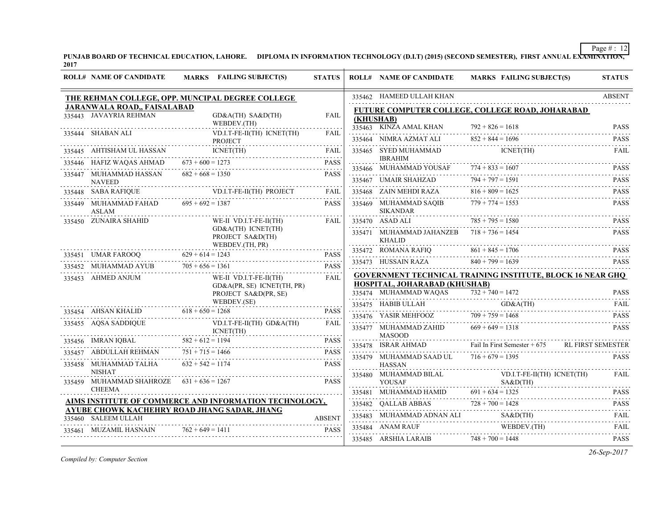**PUNJAB BOARD OF TECHNICAL EDUCATION, LAHORE. DIPLOMA IN INFORMATION TECHNOLOGY (D.I.T) (2015) (SECOND SEMESTER), FIRST ANNUAL EXAMINATION, 2017**

|        | <b>ROLL# NAME OF CANDIDATE</b>                                               | MARKS FAILING SUBJECT(S)                                                                                       | <b>STATUS</b> |           | <b>ROLL# NAME OF CANDIDATE</b>                               | <b>MARKS FAILING SUBJECT(S)</b>                                     | <b>STATUS</b>            |
|--------|------------------------------------------------------------------------------|----------------------------------------------------------------------------------------------------------------|---------------|-----------|--------------------------------------------------------------|---------------------------------------------------------------------|--------------------------|
|        |                                                                              | THE REHMAN COLLEGE, OPP. MUNCIPAL DEGREE COLLEGE                                                               |               |           | 335462 HAMEED ULLAH KHAN                                     |                                                                     | <b>ABSENT</b>            |
|        | <b>JARANWALA ROAD,, FAISALABAD</b>                                           |                                                                                                                |               |           |                                                              | FUTURE COMPUTER COLLEGE, COLLEGE ROAD, JOHARABAD                    |                          |
|        | 335443 JAVAYRIA REHMAN                                                       | GD&A(TH) SA&D(TH)<br>WEBDEV.(TH)                                                                               | FAIL          | (KHUSHAB) | 335463 KINZA AMAL KHAN                                       | $792 + 826 = 1618$                                                  | <b>PASS</b>              |
|        | 335444 SHABAN ALI                                                            | VD.I.T-FE-II(TH) ICNET(TH)<br><b>PROJECT</b>                                                                   | FAIL          |           | 335464 NIMRA AZMAT ALI                                       | $852 + 844 = 1696$                                                  | <b>PASS</b>              |
|        |                                                                              |                                                                                                                | FAIL          |           | 335465 SYED MUHAMMAD                                         | ICNET(TH)                                                           | <b>FAIL</b>              |
|        |                                                                              | 335445 AHTISHAM UL HASSAN ICNET(TH)<br>335446 HAFIZ WAQAS AHMAD 673 + 600 = 1273<br>$AD$ 673 + 600 = 1273 PASS | <b>PASS</b>   |           | <b>IBRAHIM</b>                                               |                                                                     |                          |
|        | 335447 MUHAMMAD HASSAN                                                       | $682 + 668 = 1350$                                                                                             | <b>PASS</b>   |           | 335466 MUHAMMAD YOUSAF                                       | $774 + 833 = 1607$                                                  | <b>PASS</b>              |
|        | <b>NAVEED</b>                                                                |                                                                                                                |               |           | 335467 UMAIR SHAHZAD                                         | $794 + 797 = 1591$                                                  | <b>PASS</b>              |
|        | 335448 SABA RAFIQUE                                                          | E<br>VD.I.T-FE-II(TH) PROJECT                                                                                  | FAIL          |           | 335468 ZAIN MEHDI RAZA                                       | $816 + 809 = 1625$                                                  | <b>PASS</b>              |
|        | 335449 MUHAMMAD FAHAD<br><b>ASLAM</b>                                        | $695 + 692 = 1387$                                                                                             | <b>PASS</b>   |           | 335469 MUHAMMAD SAOIB<br><b>SIKANDAR</b>                     | $779 + 774 = 1553$                                                  | <b>PASS</b>              |
| 335450 | ZUNAIRA SHAHID                                                               | WE-II VD.I.T-FE-II(TH)                                                                                         | FAIL          |           | 335470 ASAD ALI                                              | $785 + 795 = 1580$                                                  | <b>PASS</b>              |
|        |                                                                              | GD&A(TH) ICNET(TH)<br>PROJECT SA&D(TH)                                                                         |               |           | 335471 MUHAMMAD JAHANZEB $718 + 736 = 1454$<br><b>KHALID</b> |                                                                     | .<br><b>PASS</b>         |
|        |                                                                              | WEBDEV.(TH, PR)                                                                                                |               |           | 335472 ROMANA RAFIQ                                          | $861 + 845 = 1706$                                                  | <b>PASS</b>              |
|        |                                                                              | 335451 UMAR FAROOQ 629 + 614 = 1243 PASS                                                                       | <b>PASS</b>   |           | 335473 HUSSAIN RAZA                                          | $840 + 799 = 1639$                                                  | <b>PASS</b>              |
|        | 335453 AHMED ANJUM                                                           | 335452 MUHAMMAD AYUB $705 + 656 = 1361$<br>WE-II VD.I.T-FE-II(TH)                                              | FAIL          |           |                                                              | <b>GOVERNMENT TECHNICAL TRAINING INSTITUTE, BLOCK 16 NEAR GHQ</b>   |                          |
|        |                                                                              | GD&A(PR, SE) ICNET(TH, PR)<br>PROJECT SA&D(PR, SE)                                                             |               |           | HOSPITAL, JOHARABAD (KHUSHAB)<br>335474 MUHAMMAD WAQAS       | $732 + 740 = 1472$                                                  | <b>PASS</b>              |
|        |                                                                              | WEBDEV.(SE)                                                                                                    |               |           |                                                              | 335475 HABIB ULLAH GD&A(TH)                                         | FAIL                     |
|        | 335454 AHSAN KHALID                                                          | $618 + 650 = 1268$                                                                                             | <b>PASS</b>   |           | 335476 YASIR MEHFOOZ                                         | $709 + 759 = 1468$                                                  | <b>PASS</b>              |
|        | 335455 AQSA SADDIQUE<br>$ICMET(TH)$<br>335456 IMRAN IQBAL $582 + 612 = 1194$ | $VD.I.T-FE-II(TH)$ $GD&A(TH)$<br>.                                                                             | FAIL          |           | 335477 MUHAMMAD ZAHID<br><b>MASOOD</b>                       | $669 + 649 = 1318$                                                  | .<br><b>PASS</b>         |
|        |                                                                              |                                                                                                                | <b>PASS</b>   |           | 335478 ISRAR AHMAD                                           | Fail In First Semester + 675                                        | <b>RL FIRST SEMESTER</b> |
| 335457 | ABDULLAH REHMAN                                                              | $751 + 715 = 1466$<br>LLAH REHMAN 751 + 715 = 1466 PASS                                                        | <b>PASS</b>   |           | 335479 MUHAMMAD SAAD UL $716 + 679 = 1395$                   |                                                                     | <b>PASS</b>              |
|        | 335458 MUHAMMAD TALHA<br><b>NISHAT</b>                                       | $632 + 542 = 1174$                                                                                             | <b>PASS</b>   |           | <b>HASSAN</b><br>335480 MUHAMMAD BILAL                       | VD.I.T-FE-II(TH) ICNET(TH)                                          | FAIL                     |
|        | 335459 MUHAMMAD SHAHROZE $631 + 636 = 1267$<br><b>CHEEMA</b>                 |                                                                                                                | <b>PASS</b>   |           | <b>YOUSAF</b>                                                | S A & D(TH)                                                         |                          |
|        |                                                                              | AIMS INSTITUTE OF COMMERCE AND INFORMATION TECHNOLOGY,                                                         |               |           | 335481 MUHAMMAD HAMID                                        | $691 + 634 = 1325$<br>335481 MUHAMMAD HAMID $691 + 634 = 1325$ PASS |                          |
|        |                                                                              | AYUBE CHOWK KACHEHRY ROAD JHANG SADAR, JHANG                                                                   |               |           |                                                              | 335482 QALLAB ABBAS $728 + 700 = 1428$                              | <b>PASS</b>              |
|        | 335460 SALEEM ULLAH                                                          |                                                                                                                | <b>ABSENT</b> |           |                                                              | 335483 MUHAMMAD ADNAN ALI SA&D(TH) FAIL FAIL                        |                          |
|        | MUZAMIL HASNAIN                                                              | $762 + 649 = 1411$                                                                                             | <b>PASS</b>   |           | 335484 ANAM RAUF<br>.                                        | WEBDEV.(TH)                                                         | FAIL                     |
|        |                                                                              |                                                                                                                |               |           | 335485 ARSHIA LARAIB                                         | $748 + 700 = 1448$                                                  | <b>PASS</b>              |

*Compiled by: Computer Section*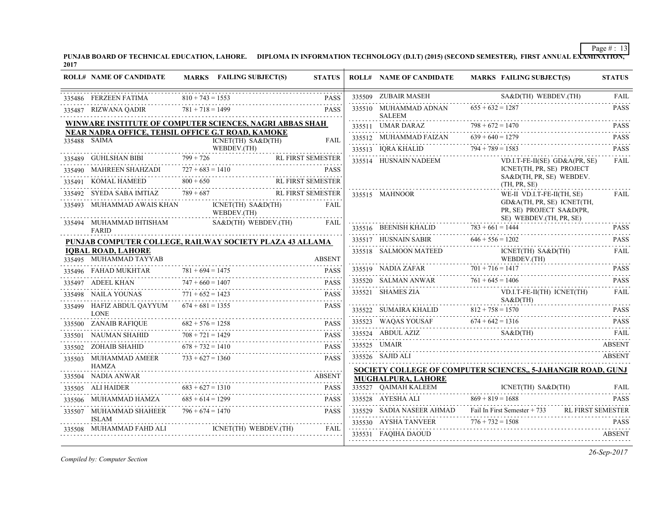**PUNJAB BOARD OF TECHNICAL EDUCATION, LAHORE. DIPLOMA IN INFORMATION TECHNOLOGY (D.I.T) (2015) (SECOND SEMESTER), FIRST ANNUAL EXAMINATION, 2017**

| <b>ROLL# NAME OF CANDIDATE</b>                                                                                                                                                       |                    | MARKS FAILING SUBJECT(S)                                         | <b>STATUS</b>     | <b>ROLL# NAME OF CANDIDATE</b>                            | MARKS FAILING SUBJECT(S)                                                                                                                                                                                                                                                                    | <b>STATUS</b>                   |
|--------------------------------------------------------------------------------------------------------------------------------------------------------------------------------------|--------------------|------------------------------------------------------------------|-------------------|-----------------------------------------------------------|---------------------------------------------------------------------------------------------------------------------------------------------------------------------------------------------------------------------------------------------------------------------------------------------|---------------------------------|
| 335486 FERZEEN FATIMA                                                                                                                                                                | $810 + 743 = 1553$ |                                                                  | <b>PASS</b>       | 335509 ZUBAIR MASEH                                       | SA&D(TH) WEBDEV.(TH)                                                                                                                                                                                                                                                                        | FAIL                            |
| 335487 RIZWANA QADIR $781 + 718 = 1499$                                                                                                                                              |                    |                                                                  | <b>PASS</b>       | 335510 MUHAMMAD ADNAN $655 + 632 = 1287$<br><b>SALEEM</b> |                                                                                                                                                                                                                                                                                             | <b>PASS</b>                     |
| WINWARE INSTITUTE OF COMPUTER SCIENCES, NAGRI ABBAS SHAH                                                                                                                             |                    |                                                                  |                   | 335511 UMAR DARAZ                                         | $798 + 672 = 1470$                                                                                                                                                                                                                                                                          | <b>PASS</b>                     |
| NEAR NADRA OFFICE, TEHSIL OFFICE G.T ROAD, KAMOKE<br>335488 SAIMA                                                                                                                    |                    |                                                                  | FAIL              | 335512 MUHAMMAD FAIZAN $639 + 640 = 1279$                 |                                                                                                                                                                                                                                                                                             | <b>PASS</b>                     |
| ENET(TH) SA&D(TH)<br>WEBDEV.(TH)                                                                                                                                                     |                    |                                                                  |                   | 335513 IQRA KHALID $794 + 789 = 1583$                     |                                                                                                                                                                                                                                                                                             | .<br><b>PASS</b>                |
| 335489 GUHLSHAN BIBI 799 + 726 RL FIRST SEMESTER                                                                                                                                     |                    |                                                                  | RL FIRST SEMESTER | 335514 HUSNAIN NADEEM                                     | VD.I.T-FE-II(SE) GD&A(PR, SE)                                                                                                                                                                                                                                                               | .<br><b>FAIL</b>                |
| 335490 MAHREEN SHAHZADI $727 + 683 = 1410$                                                                                                                                           |                    |                                                                  | <b>PASS</b>       |                                                           | ICNET(TH, PR, SE) PROJECT<br>SA&D(TH, PR, SE) WEBDEV.                                                                                                                                                                                                                                       |                                 |
| $\frac{335491}{335492} \cdot \frac{\text{KOMAL HAMEED}}{\text{SVEDA SABA IMTIAZ}} \cdot \frac{800 + 650}{789 + 687} \cdot \frac{\text{RL FIRST SEMESTER}}{\text{RL FIRST SEMESTER}}$ |                    |                                                                  |                   |                                                           | (TH, PR, SE)                                                                                                                                                                                                                                                                                |                                 |
|                                                                                                                                                                                      |                    |                                                                  |                   | 335515 MAHNOOR                                            | WE-II VD.I.T-FE-II(TH, SE)                                                                                                                                                                                                                                                                  | <b>FAIL</b>                     |
| 335493 MUHAMMAD AWAIS KHAN ICNET(TH) SA&D(TH)                                                                                                                                        |                    | WEBDEV.(TH)                                                      | FAIL              |                                                           | GD&A(TH, PR, SE) ICNET(TH,<br>PR, SE) PROJECT SA&D(PR,                                                                                                                                                                                                                                      |                                 |
| 335494 MUHAMMAD IHTISHAM<br><b>FARID</b>                                                                                                                                             |                    | SA&D(TH) WEBDEV.(TH)                                             | <b>FAIL</b>       |                                                           | $SE$ ) WEBDEV.(TH, PR, SE)<br>335516 BEENISH KHALID 783 + 661 = 1444                                                                                                                                                                                                                        | <b>PASS</b>                     |
| PUNJAB COMPUTER COLLEGE, RAILWAY SOCIETY PLAZA 43 ALLAMA                                                                                                                             |                    |                                                                  |                   |                                                           | 335517 HUSNAIN SABIR $646 + 556 = 1202$                                                                                                                                                                                                                                                     | .<br><b>PASS</b>                |
| <b>IQBAL ROAD, LAHORE</b><br>335495 MUHAMMAD TAYYAB                                                                                                                                  |                    |                                                                  | <b>ABSENT</b>     |                                                           | $\begin{tabular}{c c c c} \hline \textbf{335518} & \textbf{SALMOON MATEED} & \textbf{ICNET(TH) SABD(TH)} \\ \hline \textbf{335519} & \textbf{NADIA ZAFAR} & \textbf{701 + 716 = 1417} \\ \hline \textbf{335519} & \textbf{NADIA ZAFAR} & \textbf{701 + 716 = 1417} \\ \hline \end{tabular}$ | .<br><b>FAIL</b><br>WEBDEV.(TH) |
| 335496 FAHAD MUKHTAR $781 + 694 = 1475$ PASS                                                                                                                                         |                    |                                                                  |                   |                                                           |                                                                                                                                                                                                                                                                                             | <b>PASS</b>                     |
| 335497 ADEEL KHAN $747 + 660 = 1407$ PASS                                                                                                                                            |                    |                                                                  |                   |                                                           | 335520 SALMAN ANWAR $761 + 645 = 1406$                                                                                                                                                                                                                                                      | 1.1.1.1.1.1.1<br><b>PASS</b>    |
| $335498$ NAILA YOUNAS PASS<br>$335498$ NAILA YOUNAS PASS                                                                                                                             |                    |                                                                  |                   |                                                           | 335521 SHAMES ZIA VD.I.T-FE-II(TH) ICNET(TH)                                                                                                                                                                                                                                                | .<br>FAIL<br>$SAA\&D(TH)$       |
| 335499 HAFIZ ABDUL QAYYUM $674 + 681 = 1355$<br><b>LONE</b>                                                                                                                          |                    |                                                                  | <b>PASS</b>       |                                                           | 335522 SUMAIRA KHALID $812 + 758 = 1570$                                                                                                                                                                                                                                                    | <b>PASS</b>                     |
| 335500 ZANAIB RAFIQUE $682 + 576 = 1258$                                                                                                                                             |                    |                                                                  | <b>PASS</b>       |                                                           | 335523 WAQAS YOUSAF $674 + 642 = 1316$ PASS                                                                                                                                                                                                                                                 | .                               |
| 335501 NAUMAN SHAHID $708 + 721 = 1429$                                                                                                                                              |                    | $\overline{AB}$ 682 + 576 = 1258 PASS<br>$708 + 721 = 1429$ PASS |                   |                                                           | 335524 ABDUL AZIZ SA&D(TH) FAIL FAIL                                                                                                                                                                                                                                                        |                                 |
| 335502 ZOHAIB SHAHID $678 + 732 = 1410$                                                                                                                                              |                    |                                                                  | <b>PASS</b>       | 335525 UMAIR                                              |                                                                                                                                                                                                                                                                                             | ABSENT                          |
| 335503 MUHAMMAD AMEER<br>HAMZA                                                                                                                                                       | $733 + 627 = 1360$ | <b>PASS</b>                                                      |                   | 335526 SAJID ALI                                          |                                                                                                                                                                                                                                                                                             | <b>ABSENT</b>                   |
|                                                                                                                                                                                      |                    |                                                                  | <b>ABSENT</b>     | MUGHALPURA, LAHORE                                        | <b>SOCIETY COLLEGE OF COMPUTER SCIENCES., 5-JAHANGIR ROAD, GUNJ</b>                                                                                                                                                                                                                         |                                 |
| $683 + 627 = 1310$<br>335505 ALI HAIDER                                                                                                                                              |                    |                                                                  | <b>PASS</b>       |                                                           | 335527 QAIMAH KALEEM ICNET(TH) SA&D(TH) FAIL                                                                                                                                                                                                                                                |                                 |
| 335506 MUHAMMAD HAMZA                                                                                                                                                                | $685 + 614 = 1299$ | $685 + 614 = 1299$ PASS                                          | <b>PASS</b>       |                                                           | 335528 AYESHA ALI $869 + 819 = 1688$                                                                                                                                                                                                                                                        | <b>PASS</b>                     |
| 335507 MUHAMMAD SHAHEER $796 + 674 = 1470$                                                                                                                                           |                    |                                                                  | <b>PASS</b>       |                                                           | 335529 SADIA NASEER AHMAD Fail In First Semester + 733 RL FIRST SEMESTER                                                                                                                                                                                                                    |                                 |
| <b>ISLAM</b>                                                                                                                                                                         |                    |                                                                  |                   |                                                           | 335530 AYSHA TANVEER $776 + 732 = 1508$ PASS                                                                                                                                                                                                                                                |                                 |
| 335508 MUHAMMAD FAHD ALI                                                                                                                                                             |                    | ICNET(TH) WEBDEV.(TH)                                            | <b>FAIL</b>       | 335531 FAQIHA DAOUD<br>335531 FAQIHA DAOUD ABSENT         |                                                                                                                                                                                                                                                                                             |                                 |

*Compiled by: Computer Section*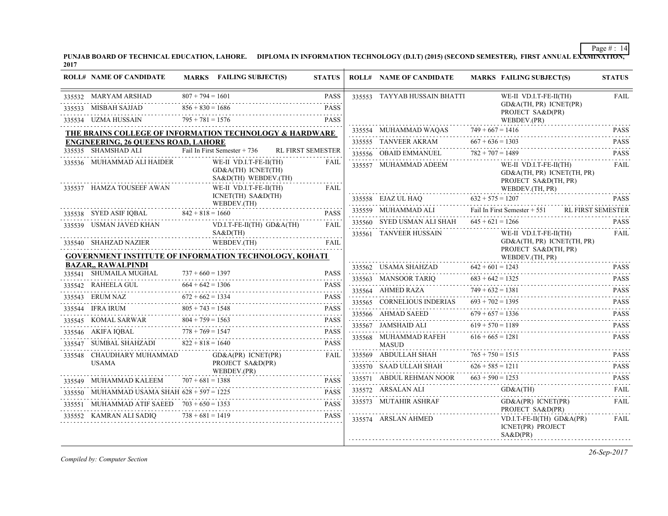**PUNJAB BOARD OF TECHNICAL EDUCATION, LAHORE. DIPLOMA IN INFORMATION TECHNOLOGY (D.I.T) (2015) (SECOND SEMESTER), FIRST ANNUAL EXAMINATION, 2017**

| <b>ROLL# NAME OF CANDIDATE</b>                                                             |                                          | MARKS FAILING SUBJECT(S)                                               | <b>STATUS</b>              | <b>ROLL# NAME OF CANDIDATE</b>        |                    | <b>MARKS FAILING SUBJECT(S)</b>                                              | <b>STATUS</b>    |
|--------------------------------------------------------------------------------------------|------------------------------------------|------------------------------------------------------------------------|----------------------------|---------------------------------------|--------------------|------------------------------------------------------------------------------|------------------|
| 335532 MARYAM ARSHAD<br>335533 MISBAH SAJJAD                                               | $807 + 794 = 1601$<br>$856 + 830 = 1686$ |                                                                        | <b>PASS</b><br><b>PASS</b> | 335553 TAYYAB HUSSAIN BHATTI          |                    | WE-II VD.I.T-FE-II(TH)<br>GD&A(TH, PR) ICNET(PR)<br>PROJECT SA&D(PR)         | <b>FAIL</b>      |
| 335534 UZMA HUSSAIN                                                                        | $795 + 781 = 1576$                       |                                                                        | <b>PASS</b>                |                                       |                    | WEBDEV.(PR)                                                                  |                  |
| THE BRAINS COLLEGE OF INFORMATION TECHNOLOGY & HARDWARE                                    |                                          |                                                                        |                            | 335554 MUHAMMAD WAQAS                 | $749 + 667 = 1416$ |                                                                              | <b>PASS</b>      |
| <b>ENGINEERING, 26 QUEENS ROAD, LAHORE</b><br>335535 SHAMSHAD ALI                          |                                          |                                                                        |                            | 335555 TANVEER AKRAM                  | $667 + 636 = 1303$ |                                                                              | <b>PASS</b>      |
|                                                                                            |                                          | Fail In First Semester + 736                                           | <b>RL FIRST SEMESTER</b>   | 335556 OBAID EMMANUEL                 | $782 + 707 = 1489$ |                                                                              | <b>PASS</b>      |
| 335536 MUHAMMAD ALI HAIDER                                                                 |                                          | WE-II VD.I.T-FE-II(TH)<br>GD&A(TH) ICNET(TH)<br>$SAB(TH)$ WEBDEV. (TH) | FAIL                       | 335557 MUHAMMAD ADEEM                 |                    | WE-II VD.I.T-FE-II(TH)<br>GD&A(TH, PR) ICNET(TH, PR)<br>PROJECT SA&D(TH, PR) | FAIL             |
| 335537 HAMZA TOUSEEF AWAN                                                                  |                                          | WE-II VD.I.T-FE-II(TH)<br>ICNET(TH) SA&D(TH)                           | FAIL                       |                                       |                    | WEBDEV.(TH, PR)                                                              |                  |
|                                                                                            |                                          | WEBDEV.(TH)                                                            |                            | $335558 \quad \text{EJAZ UL HAQ}$     | $632 + 575 = 1207$ |                                                                              | <b>PASS</b>      |
| 335538 SYED ASIF IQBAL $842 + 818 = 1660$                                                  |                                          |                                                                        | <b>PASS</b>                | 335559 MUHAMMAD ALI                   |                    | Fail In First Semester + 551 RL FIRST SEMESTER                               |                  |
| 335539 USMAN JAVED KHAN                                                                    |                                          | VD.I.T-FE-II(TH) GD&A(TH)                                              | <b>FAIL</b>                | 335560 SYED USMAN ALI SHAH            | $645 + 621 = 1266$ |                                                                              | <b>PASS</b>      |
| 335540 SHAHZAD NAZIER                                                                      |                                          | S A & D(TH)<br>WEBDEV.(TH)                                             | FAIL                       | 335561 TANVEER HUSSAIN                |                    | WE-II VD.I.T-FE-II(TH)<br>GD&A(TH, PR) ICNET(TH, PR)<br>PROJECT SA&D(TH, PR) | <b>FAIL</b>      |
| <b>GOVERNMENT INSTITUTE OF INFORMATION TECHNOLOGY, KOHATI</b>                              |                                          |                                                                        |                            |                                       |                    | WEBDEV.(TH, PR)                                                              |                  |
| <b>BAZAR, RAWALPINDI</b><br>335541 SHUMAILA MUGHAL                                         | $737 + 660 = 1397$                       |                                                                        | <b>PASS</b>                | 335562 USAMA SHAHZAD                  | $642 + 601 = 1243$ |                                                                              | <b>PASS</b>      |
| 335542 RAHEELA GUL                                                                         | $664 + 642 = 1306$                       |                                                                        | .<br><b>PASS</b>           | 335563 MANSOOR TARIQ                  | $683 + 642 = 1325$ |                                                                              | <b>PASS</b>      |
| 335543 ERUM NAZ                                                                            | $672 + 662 = 1334$                       |                                                                        | <b>PASS</b>                | 335564 AHMED RAZA                     | $749 + 632 = 1381$ |                                                                              | <b>PASS</b>      |
| 335544 IFRA IRUM                                                                           | .<br>$805 + 743 = 1548$                  |                                                                        | PASS                       | 335565 CORNELIOUS INDERIAS            | $693 + 702 = 1395$ |                                                                              | PASS             |
|                                                                                            | $804 + 759 = 1563$                       |                                                                        | <b>PASS</b>                | 335566 AHMAD SAEED                    | $679 + 657 = 1336$ |                                                                              | <b>PASS</b><br>. |
| 335545 KOMAL SARWAR 8                                                                      |                                          | $04 + 759 = 1563$ PASS                                                 |                            | 335567 JAMSHAID ALI                   | $619 + 570 = 1189$ |                                                                              | <b>PASS</b><br>. |
| 335546 AKIFA IQBAL $778 + 769 = 1547$<br>335547 SUMBAL SHAHZADI                            | $822 + 818 = 1640$                       | $778 + 769 = 1547$ PASS                                                | <b>PASS</b>                | 335568 MUHAMMAD RAFEH<br><b>MASUD</b> | $616 + 665 = 1281$ |                                                                              | <b>PASS</b>      |
| 335548 CHAUDHARY MUHAMMAD                                                                  |                                          | $GD&A(PR)$ $ICNET(PR)$                                                 | <b>FAIL</b>                | 335569 ABDULLAH SHAH                  | $765 + 750 = 1515$ |                                                                              | <b>PASS</b>      |
| <b>USAMA</b>                                                                               |                                          | PROJECT SA&D(PR)                                                       |                            | 335570 SAAD ULLAH SHAH                | $626 + 585 = 1211$ |                                                                              | <b>PASS</b>      |
|                                                                                            |                                          | WEBDEV.(PR)                                                            |                            | 335571 ABDUL REHMAN NOOR              | $663 + 590 = 1253$ |                                                                              | <b>PASS</b>      |
| 335549 MUHAMMAD KALEEM $707 + 681 = 1388$<br>335550 MUHAMMAD USAMA SHAH 628 + 597 = 1225   |                                          | $7 + 681 = 1388$ PASS                                                  |                            | 335572 ARSALAN ALI                    |                    | GD&A(TH)                                                                     | FAIL             |
| 335551 MUHAMMAD ATIF SAEED 703 + 650 = 1353<br>MUHAMMAD ATIF SAEED $703 + 650 = 1353$ PASS |                                          |                                                                        | <b>PASS</b>                | 335573 MUTAHIR ASHRAF                 |                    | $GD&A(PR)$ ICNET(PR)                                                         | .<br>FAIL        |
| 335552 KAMRAN ALI SADIQ $738 + 681 = 1419$                                                 |                                          |                                                                        | <b>PASS</b>                |                                       |                    | PROJECT SA&D(PR)                                                             |                  |
|                                                                                            |                                          |                                                                        |                            | 335574 ARSLAN AHMED                   |                    | $VD.I.T-FE-II(TH) GD&A(PR)$<br>ICNET(PR) PROJECT<br>S A & D(PR)              | FAIL             |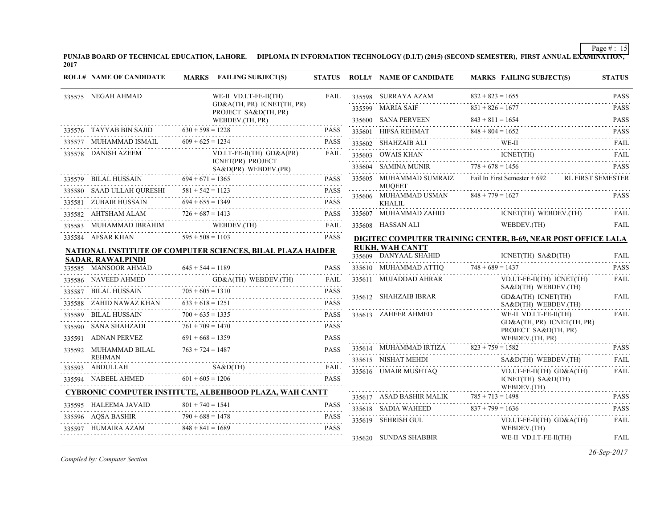**PUNJAB BOARD OF TECHNICAL EDUCATION, LAHORE. DIPLOMA IN INFORMATION TECHNOLOGY (D.I.T) (2015) (SECOND SEMESTER), FIRST ANNUAL EXAMINATION, 2017**

|        | <b>ROLL# NAME OF CANDIDATE</b>             |                    | MARKS FAILING SUBJECT(S)                                                                                                                                                                                                                                                                                                                                                               | <b>STATUS</b> | <b>ROLL# NAME OF CANDIDATE</b>         | <b>MARKS FAILING SUBJECT(S)</b>                                                                                                                                                                                                                                                             | <b>STATUS</b>    |
|--------|--------------------------------------------|--------------------|----------------------------------------------------------------------------------------------------------------------------------------------------------------------------------------------------------------------------------------------------------------------------------------------------------------------------------------------------------------------------------------|---------------|----------------------------------------|---------------------------------------------------------------------------------------------------------------------------------------------------------------------------------------------------------------------------------------------------------------------------------------------|------------------|
|        | 335575 NEGAH AHMAD                         |                    | WE-II VD.I.T-FE-II(TH)                                                                                                                                                                                                                                                                                                                                                                 | FAIL          |                                        | 335598 SURRAYA AZAM 832 + 823 = 1655<br>851 + 826 = 1677 PASS<br>851 + 826 = 1677 PASS                                                                                                                                                                                                      |                  |
|        |                                            |                    | GD&A(TH, PR) ICNET(TH, PR)<br>PROJECT SA&D(TH, PR)                                                                                                                                                                                                                                                                                                                                     |               |                                        |                                                                                                                                                                                                                                                                                             |                  |
|        |                                            |                    | WEBDEV.(TH, PR)                                                                                                                                                                                                                                                                                                                                                                        |               | 335600 SANA PERVEEN                    | $843 + 811 = 1654$                                                                                                                                                                                                                                                                          | <b>PASS</b>      |
|        | 335576 TAYYAB BIN SAJID $630 + 598 = 1228$ |                    |                                                                                                                                                                                                                                                                                                                                                                                        | <b>PASS</b>   |                                        | $848 + 804 = 1652$<br>335601 HIFSA REHMAT 848 + 804 = 1652 PASS                                                                                                                                                                                                                             |                  |
| 335577 | MUHAMMAD ISMAIL $609 + 625 = 1234$         |                    |                                                                                                                                                                                                                                                                                                                                                                                        | <b>PASS</b>   |                                        | ${\bf 335602} \quad {\bf SHAHZAIB}\ {\bf ALL} \qquad {\bf WE-II} \qquad {\bf FAIL} \qquad {\bf FAIL}$                                                                                                                                                                                       |                  |
|        | 335578 DANISH AZEEM                        |                    | $VD.I.T-FE-II(TH)$ $GD&A(PR)$<br>ICNET(PR) PROJECT<br>SA&D(PR) WEBDEV.(PR)                                                                                                                                                                                                                                                                                                             | FAIL          |                                        | $\begin{tabular}{llllllll} \textbf{335603} & \textbf{OWAIS KHAN} & & \textbf{ICNET(TH)} & \textbf{FAIL} \\ \textbf{335604} & \textbf{SAMINA MUNIR} & & \textbf{778 + 678 = 1456} & & \textbf{PASS} \\ \end{tabular}$                                                                        |                  |
|        |                                            |                    | 335580 SAAD ULLAH QURESHI $581 + 542 = 1123$                                                                                                                                                                                                                                                                                                                                           |               |                                        | 335605 MUHAMMAD SUMRAIZ Fail In First Semester + 692 RL FIRST SEMESTER                                                                                                                                                                                                                      |                  |
|        |                                            |                    |                                                                                                                                                                                                                                                                                                                                                                                        |               | <b>MUOEET</b>                          |                                                                                                                                                                                                                                                                                             |                  |
|        | 335581 ZUBAIR HUSSAIN                      | $694 + 655 = 1349$ | ZUBAIR HUSSAIN $694 + 655 = 1349$ PASS                                                                                                                                                                                                                                                                                                                                                 | <b>PASS</b>   | 335606 MUHAMMAD USMAN<br><b>KHALIL</b> | $848 + 779 = 1627$                                                                                                                                                                                                                                                                          | <b>PASS</b>      |
|        | 335582 AHTSHAM ALAM                        | $726 + 687 = 1413$ | ALAM 726 + 687 = 1413 PASS                                                                                                                                                                                                                                                                                                                                                             | <b>PASS</b>   |                                        |                                                                                                                                                                                                                                                                                             |                  |
|        |                                            |                    | ${\small \begin{tabular}{ll} \textbf{335583} & \textbf{MUHAMMAD IBRAHIM} & \textbf{WEBDEV.(TH)}\\ \textbf{1335583} & \textbf{5333} & \textbf{5333} & \textbf{5333} \\ \textbf{13333} & \textbf{1333} & \textbf{1333} & \textbf{1333} \\ \textbf{1333} & \textbf{1333} & \textbf{1333} & \textbf{1333} \\ \textbf{1333} & \textbf{1333} & \textbf{1333} & \textbf{1333} \\ \textbf{133$ |               |                                        | $\begin{tabular}{llllll} \multicolumn{2}{l}{{\textbf{335607}}}\quad {\textbf{MUHAMMAD ZAHID}} & {\textbf{ICNET(TH)}} \quad {\textbf{WEBDEV.(TH)}} & {\textbf{FAIL}} \\ \hline {\textbf{335608}} & {\textbf{HASSAN ALI}} & {\textbf{WEBDEV.(TH)}} & {\textbf{FAIL}} \\ \hline \end{tabular}$ |                  |
|        | 335584 AFSAR KHAN                          | $595 + 508 = 1103$ |                                                                                                                                                                                                                                                                                                                                                                                        | <b>PASS</b>   |                                        | DIGITEC COMPUTER TRAINING CENTER, B-69, NEAR POST OFFICE LALA                                                                                                                                                                                                                               |                  |
|        |                                            |                    | <b>NATIONAL INSTITUTE OF COMPUTER SCIENCES, BILAL PLAZA HAIDER</b>                                                                                                                                                                                                                                                                                                                     |               | <b>RUKH, WAH CANTT</b>                 |                                                                                                                                                                                                                                                                                             |                  |
|        | <b>SADAR, RAWALPINDI</b>                   |                    |                                                                                                                                                                                                                                                                                                                                                                                        |               | 335609 DANYAAL SHAHID                  | ICNET(TH) SA&D(TH)                                                                                                                                                                                                                                                                          | FAIL             |
|        | 335585 MANSOOR AHMAD                       | $645 + 544 = 1189$ | HMAD $645 + 544 = 1189$ PASS                                                                                                                                                                                                                                                                                                                                                           | <b>PASS</b>   | 335610 MUHAMMAD ATTIQ 748 + 689 = 1437 |                                                                                                                                                                                                                                                                                             | <b>PASS</b><br>. |
|        |                                            |                    | 335586 NAVEED AHMED GD&A(TH) WEBDEV.(TH) FAIL                                                                                                                                                                                                                                                                                                                                          | FAIL          | 335611 MUJADDAD AHRAR                  | VD.I.T-FE-II(TH) ICNET(TH)<br>SA&D(TH) WEBDEV.(TH)                                                                                                                                                                                                                                          | FAIL             |
| 335587 | BILAL HUSSAIN $705 + 605 = 1310$           |                    | $103 + 605 = 1310$<br>VZ KHAN $633 + 618 = 1251$                                                                                                                                                                                                                                                                                                                                       |               | 335612 SHAHZAIB IBRAR                  | GD&A(TH) ICNET(TH)                                                                                                                                                                                                                                                                          | FAIL             |
|        | 335588 ZAHID NAWAZ KHAN                    |                    |                                                                                                                                                                                                                                                                                                                                                                                        |               |                                        | SA&D(TH) WEBDEV.(TH)                                                                                                                                                                                                                                                                        |                  |
|        |                                            |                    | 335589 BILAL HUSSAIN $700 + 635 = 1335$ PASS                                                                                                                                                                                                                                                                                                                                           | <b>PASS</b>   | 335613 ZAHEER AHMED                    | WE-II VD.I.T-FE-II(TH)<br>GD&A(TH, PR) ICNET(TH, PR)                                                                                                                                                                                                                                        | FAIL             |
|        |                                            |                    | 335590 SANA SHAHZADI $761 + 709 = 1470$ PASS                                                                                                                                                                                                                                                                                                                                           |               |                                        | PROJECT SA&D(TH, PR)                                                                                                                                                                                                                                                                        |                  |
|        | 335591 ADNAN PERVEZ                        | $691 + 668 = 1359$ |                                                                                                                                                                                                                                                                                                                                                                                        | <b>PASS</b>   |                                        | WEBDEV.(TH, PR)                                                                                                                                                                                                                                                                             |                  |
|        | 335592 MUHAMMAD BILAL                      | $763 + 724 = 1487$ |                                                                                                                                                                                                                                                                                                                                                                                        | <b>PASS</b>   |                                        | $335614$ MUHAMMAD IRTIZA $823 + 759 = 1582$                                                                                                                                                                                                                                                 | <b>PASS</b>      |
|        | <b>REHMAN</b><br>335593 ABDULLAH           |                    |                                                                                                                                                                                                                                                                                                                                                                                        | FAIL          |                                        | SA&D(TH) WEBDEV.(TH)                                                                                                                                                                                                                                                                        | FAIL             |
|        |                                            |                    | 335594 NABEEL AHMED $601 + 605 = 1206$                                                                                                                                                                                                                                                                                                                                                 | <b>PASS</b>   | 335616 UMAIR MUSHTAQ                   | $VD.I.T-FE-II(TH)$ $GD&A(TH)$<br>ICNET(TH) SA&D(TH)<br>WEBDEV.(TH)                                                                                                                                                                                                                          | <b>FAIL</b>      |
|        |                                            |                    | <b>CYBRONIC COMPUTER INSTITUTE, ALBEHBOOD PLAZA, WAH CANTT</b>                                                                                                                                                                                                                                                                                                                         |               |                                        |                                                                                                                                                                                                                                                                                             | <b>PASS</b>      |
|        | 335595 HALEEMA JAVAID                      |                    | A JAVAID 801 + 740 = 1541 PASS                                                                                                                                                                                                                                                                                                                                                         |               | 335618 SADIA WAHEED $837 + 799 = 1636$ |                                                                                                                                                                                                                                                                                             | .<br><b>PASS</b> |
|        |                                            |                    | $790 + 688 = 1478$<br>PASS<br>PASS = 1478                                                                                                                                                                                                                                                                                                                                              | <b>PASS</b>   | 335619 SEHRISH GUL                     | VD.I.T-FE-II(TH) GD&A(TH)                                                                                                                                                                                                                                                                   | .<br><b>FAIL</b> |
|        | HUMAIRA AZAM                               | $848 + 841 = 1689$ |                                                                                                                                                                                                                                                                                                                                                                                        | <b>PASS</b>   |                                        | WEBDEV.(TH)                                                                                                                                                                                                                                                                                 |                  |
|        |                                            |                    |                                                                                                                                                                                                                                                                                                                                                                                        |               | 335620 SUNDAS SHABBIR                  | WE-II VD.I.T-FE-II(TH)                                                                                                                                                                                                                                                                      | <b>FAIL</b>      |

*Compiled by: Computer Section*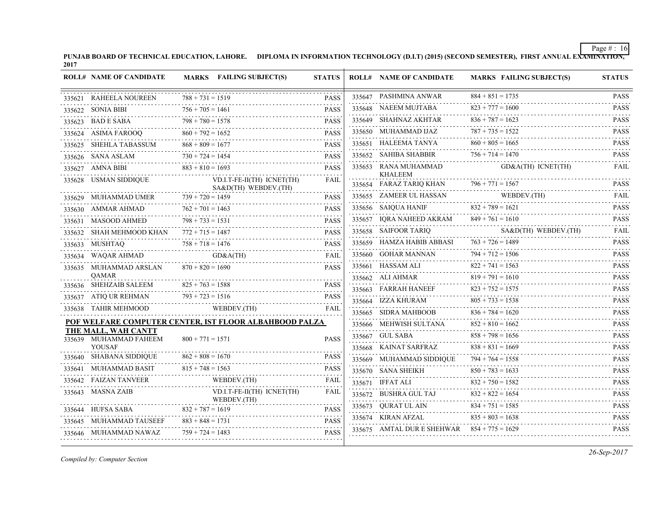**PUNJAB BOARD OF TECHNICAL EDUCATION, LAHORE. DIPLOMA IN INFORMATION TECHNOLOGY (D.I.T) (2015) (SECOND SEMESTER), FIRST ANNUAL EXAMINATION, 2017**

|        | <b>ROLL# NAME OF CANDIDATE</b> | MARKS FAILING SUBJECT(S)                               | <b>STATUS</b> |        | <b>ROLL# NAME OF CANDIDATE</b>                | <b>MARKS FAILING SUBJECT(S)</b> | <b>STATUS</b>                                                       |
|--------|--------------------------------|--------------------------------------------------------|---------------|--------|-----------------------------------------------|---------------------------------|---------------------------------------------------------------------|
|        | 335621 RAHEELA NOUREEN         | $788 + 731 = 1519$                                     | <b>PASS</b>   |        | 335647 PASHMINA ANWAR                         | $884 + 851 = 1735$              | <b>PASS</b>                                                         |
|        | 335622 SONIA BIBI              | $756 + 705 = 1461$                                     | <b>PASS</b>   |        | 335648 NAEEM MUJTABA                          | $823 + 777 = 1600$              | <b>PASS</b><br>.                                                    |
|        | 335623 BAD E SABA              | $798 + 780 = 1578$                                     | <b>PASS</b>   |        | 335649 SHAHNAZ AKHTAR                         | $836 + 787 = 1623$              | <b>PASS</b><br>.                                                    |
|        | 335624 ASIMA FAROOQ            | $860 + 792 = 1652$                                     | <b>PASS</b>   |        | 335650 MUHAMMAD IJAZ                          | $787 + 735 = 1522$              | <b>PASS</b>                                                         |
|        | 335625 SHEHLA TABASSUM         | $868 + 809 = 1677$                                     | <b>PASS</b>   |        | 335651 HALEEMA TANYA                          | $860 + 805 = 1665$              | <b>PASS</b><br>د عام ماه د                                          |
|        | 335626 SANA ASLAM              | $730 + 724 = 1454$                                     | <b>PASS</b>   |        | 335652 SAHIBA SHABBIR                         | $756 + 714 = 1470$              | <b>PASS</b>                                                         |
|        | 335627 AMNA BIBI               | $883 + 810 = 1693$                                     | <b>PASS</b>   |        | 335653 RANA MUHAMMAD                          | GD&A(TH) ICNET(TH)              | <b>FAIL</b>                                                         |
|        | 335628 USMAN SIDDIQUE          | VD.I.T-FE-II(TH) ICNET(TH)<br>SA&D(TH) WEBDEV.(TH)     | FAIL          |        | <b>KHALEEM</b><br>335654 FARAZ TARIQ KHAN     | $796 + 771 = 1567$              | <b>PASS</b>                                                         |
|        | 335629 MUHAMMAD UMER           | $739 + 720 = 1459$                                     | <b>PASS</b>   |        | 335655 ZAMEER UL HASSAN                       | WEBDEV.(TH)                     | <b>FAIL</b><br>$\alpha$ , $\alpha$ , $\alpha$ , $\alpha$ , $\alpha$ |
|        | 335630 AMMAR AHMAD             | $762 + 701 = 1463$                                     | <b>PASS</b>   |        | 335656 SAIQUA HANIF                           | $832 + 789 = 1621$              | <b>PASS</b><br>د د د د د د                                          |
|        | 335631 MASOOD AHMED            | $798 + 733 = 1531$                                     | <b>PASS</b>   | 335657 | IQRA NAHEED AKRAM                             | $849 + 761 = 1610$              | <b>PASS</b>                                                         |
| 335632 | SHAH MEHMOOD KHAN              | $772 + 715 = 1487$                                     | <b>PASS</b>   |        | 335658 SAIFOOR TARIQ                          | SA&D(TH) WEBDEV.(TH)            | <b>FAIL</b>                                                         |
|        | .<br>335633 MUSHTAQ            | $758 + 718 = 1476$                                     | <b>PASS</b>   |        | 335659 HAMZA HABIB ABBASI                     | $763 + 726 = 1489$              | <b>PASS</b><br>.                                                    |
|        | 335634 WAQAR AHMAD             | GD&A(TH)                                               | <b>FAIL</b>   |        | 335660 GOHAR MANNAN                           | $794 + 712 = 1506$              | <b>PASS</b>                                                         |
|        | 335635 MUHAMMAD ARSLAN         | $870 + 820 = 1690$                                     | <b>PASS</b>   |        | 335661 HASSAM ALI                             | $822 + 741 = 1563$              | <b>PASS</b><br><u>.</u>                                             |
|        | <b>OAMAR</b>                   |                                                        |               |        | 335662 ALI AHMAR                              | $819 + 791 = 1610$              | <b>PASS</b><br>.                                                    |
|        | 335636 SHEHZAIB SALEEM         | $825 + 763 = 1588$                                     | <b>PASS</b>   |        | 335663 FARRAH HANEEF                          | $823 + 752 = 1575$              | <b>PASS</b>                                                         |
|        | 335637 ATIQ UR REHMAN          | $793 + 723 = 1516$                                     | <b>PASS</b>   |        | 335664 IZZA KHURAM                            | $805 + 733 = 1538$              | <b>PASS</b><br>$- - - - -$                                          |
|        | 335638 TAHIR MEHMOOD           | WEBDEV.(TH)                                            | <b>FAIL</b>   | 335665 | <b>SIDRA MAHBOOB</b>                          | $836 + 784 = 1620$              | <b>PASS</b><br>.                                                    |
|        | THE MALL, WAH CANTT            | POF WELFARE COMPUTER CENTER, IST FLOOR ALBAHBOOD PALZA |               |        | 335666 MEHWISH SULTANA                        | $852 + 810 = 1662$              | <b>PASS</b>                                                         |
|        | 335639 MUHAMMAD FAHEEM         | $800 + 771 = 1571$                                     | <b>PASS</b>   |        | 335667 GUL SABA                               | $858 + 798 = 1656$              | <b>PASS</b>                                                         |
|        | <b>YOUSAF</b>                  |                                                        |               |        | 335668 KAINAT SARFRAZ                         | $838 + 831 = 1669$              | <b>PASS</b><br>.                                                    |
|        | 335640 SHABANA SIDDIQUE        | $862 + 808 = 1670$                                     | <b>PASS</b>   |        | 335669 MUHAMMAD SIDDIQUE                      | $794 + 764 = 1558$              | <b>PASS</b>                                                         |
|        | 335641 MUHAMMAD BASIT          | $815 + 748 = 1563$                                     | <b>PASS</b>   |        | 335670 SANA SHEIKH                            | $850 + 783 = 1633$              | <b>PASS</b>                                                         |
|        | 335642 FAIZAN TANVEER          | WEBDEV.(TH)                                            | FAIL          |        | 335671 IFFAT ALI                              | $832 + 750 = 1582$              | <b>PASS</b><br>$\mathbb{Z}$ is a second set of $\mathbb{Z}$         |
|        | 335643 MASNA ZAIB              | VD.I.T-FE-II(TH) ICNET(TH)<br>WEBDEV.(TH)              | FAIL          |        | 335672 BUSHRA GUL TAJ                         | $832 + 822 = 1654$              | <b>PASS</b>                                                         |
|        | 335644 HUFSA SABA              | $832 + 787 = 1619$                                     | <b>PASS</b>   |        | 335673 QURAT UL AIN                           | $834 + 751 = 1585$              | <b>PASS</b>                                                         |
|        | 335645 MUHAMMAD TAUSEEF        | $883 + 848 = 1731$                                     | <b>PASS</b>   |        | 335674 KIRAN AFZAL                            | $835 + 803 = 1638$              | <b>PASS</b><br>د د د د د د د                                        |
|        | 335646 MUHAMMAD NAWAZ          | $759 + 724 = 1483$                                     | <b>PASS</b>   |        | 335675 AMTAL DUR E SHEHWAR $854 + 775 = 1629$ |                                 | <b>PASS</b>                                                         |
|        |                                |                                                        |               |        |                                               |                                 |                                                                     |

*Compiled by: Computer Section*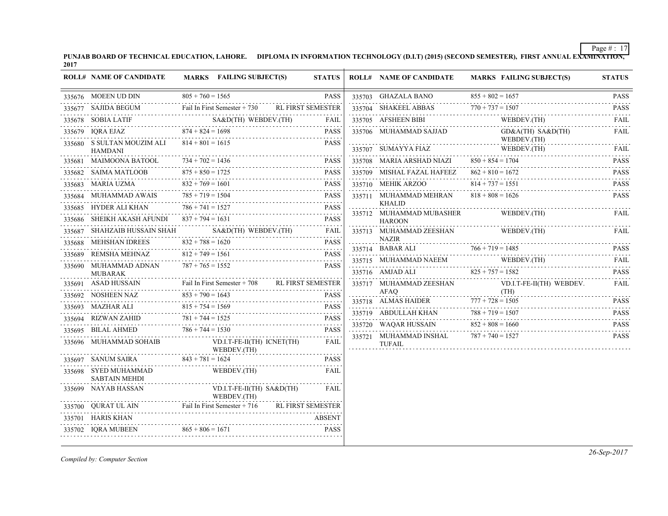**PUNJAB BOARD OF TECHNICAL EDUCATION, LAHORE. DIPLOMA IN INFORMATION TECHNOLOGY (D.I.T) (2015) (SECOND SEMESTER), FIRST ANNUAL EXAMINATION, 2017**

| $805 + 760 = 1565$<br>$855 + 802 = 1657$<br><b>PASS</b><br>335703 GHAZALA BANO<br>335676 MOEEN UD DIN<br>Fail In First Semester + 730<br><b>RL FIRST SEMESTER</b><br>335704 SHAKEEL ABBAS<br>$770 + 737 = 1507$<br>335677 SAJIDA BEGUM<br>EGUM Fail In First Semester + 730<br>XTIF SA&D(TH) WEBDEV.(TH) FAIL<br>335705 AFSHEEN BIBI<br>WEBDEV.(TH)<br>335678 SOBIA LATIF<br>$874 + 824 = 1698$<br>335706 MUHAMMAD SAJJAD<br>GD&A(TH) SA&D(TH)<br>335679 IQRA EJAZ<br><b>PASS</b><br>WEBDEV.(TH)<br>$814 + 801 = 1615$<br>335680 S SULTAN MOUZIM ALI<br><b>PASS</b><br>335707 SUMAYYA FIAZ<br>WEBDEV.(TH)<br>WEBDEV.(TH)<br><b>HAMDANI</b><br>$734 + 702 = 1436$<br>335708 MARIA ARSHAD NIAZI<br>$850 + 854 = 1704$<br>335681 MAIMOONA BATOOL<br><b>PASS</b><br>$875 + 850 = 1725$<br>335709 MISHAL FAZAL HAFEEZ $862 + 810 = 1672$<br>335682 SAIMA MATLOOB<br><b>PASS</b><br>$832 + 769 = 1601$<br>$814 + 737 = 1551$<br><b>PASS</b><br>335683 MARIA UZMA<br>335710 MEHIK ARZOO<br>$785 + 719 = 1504$<br>$818 + 808 = 1626$<br><b>PASS</b><br>MUHAMMAD AWAIS<br>335711 MUHAMMAD MEHRAN<br>335684<br>D AWAIS 785 + 719 = 1504 PASS<br><b>KHALID</b><br>$786 + 741 = 1527$<br>335685 HYDER ALI KHAN<br><b>PASS</b><br>N $786 + 741 = 1527$ PASS<br>335712 MUHAMMAD MUBASHER<br>WEBDEV.(TH)<br>335686 SHEIKH AKASH AFUNDI $837 + 794 = 1631$<br><b>PASS</b><br><b>HAROON</b><br>335687 SHAHZAIB HUSSAIN SHAH SA&D(TH) WEBDEV.(TH)<br>335713 MUHAMMAD ZEESHAN<br>FAIL<br>WEBDEV.(TH)<br>0.000 model in management in the manufacturer of the manufacturer of the manufacturer of the manufacturer of t<br><b>NAZIR</b><br>$832 + 788 = 1620$<br>335688 MEHSHAN IDREES<br><b>PASS</b><br>$832 + 788 = 1620$ PASS<br>$766 + 719 = 1485$<br>335714 BABAR ALI<br>$812 + 749 = 1561$<br>REMSHA MEHNAZ<br><b>PASS</b><br>335689<br>335715 MUHAMMAD NAEEM<br>WEBDEV.(TH)<br>WEBDEV.(TH) FAIL<br>$787 + 765 = 1552$<br><b>PASS</b><br>335690 MUHAMMAD ADNAN<br>335716 AMJAD ALI $825 + 757 = 1582$<br><b>MUBARAK</b><br>Fail In First Semester + 708<br>335691 ASAD HUSSAIN<br><b>RL FIRST SEMESTER</b><br>335717 MUHAMMAD ZEESHAN<br>VD.I.T-FE-II(TH) WEBDEV.<br>AFAO<br>(TH)<br>(TH)<br>$853 + 790 = 1643$<br><b>PASS</b><br>335692 NOSHEEN NAZ<br>335718 ALMAS HAIDER $777 + 728 = 1505$ PASS<br>$815 + 754 = 1569$<br>335693 MAZHAR ALI<br><b>PASS</b><br>RALI 815 + 754 = 1569 PASS<br>$788 + 719 = 1507$<br>335719 ABDULLAH KHAN<br>RIZWAN ZAHID $781 + 744 = 1525$ PASS<br>335694 RIZWAN ZAHID<br><b>PASS</b><br>335720 WAQAR HUSSAIN $852 +$<br>$852 + 808 = 1660$<br>$786 + 744 = 1530$<br>335695 BILAL AHMED<br><b>PASS</b><br>335721 MUHAMMAD INSHAL $787 + 740 = 1527$<br>$\alpha$ , $\alpha$ , $\alpha$ , $\alpha$ , $\alpha$<br>335696 MUHAMMAD SOHAIB<br>VD.I.T-FE-II(TH) ICNET(TH)<br>FAIL<br><b>TUFAIL</b><br>WEBDEV.(TH)<br>$843 + 781 = 1624$<br>335697 SANUM SAIRA<br>PASS<br>WEBDEV.(TH)<br>335698 SYED MUHAMMAD<br>FAIL<br><b>SABTAIN MEHDI</b><br>335699 NAYAB HASSAN<br>$VD.I.T-FE-II(TH) SA&D(TH)$<br>FAIL<br>WEBDEV.(TH)<br>N<br>Fail In First Semester + 716 RL FIRST<br>335700 QURAT UL AIN<br><b>RL FIRST SEMESTER</b> | <b>ROLL# NAME OF CANDIDATE</b> | MARKS FAILING SUBJECT(S) | <b>STATUS</b> | <b>ROLL# NAME OF CANDIDATE</b> | <b>MARKS FAILING SUBJECT(S)</b> | <b>STATUS</b>    |
|------------------------------------------------------------------------------------------------------------------------------------------------------------------------------------------------------------------------------------------------------------------------------------------------------------------------------------------------------------------------------------------------------------------------------------------------------------------------------------------------------------------------------------------------------------------------------------------------------------------------------------------------------------------------------------------------------------------------------------------------------------------------------------------------------------------------------------------------------------------------------------------------------------------------------------------------------------------------------------------------------------------------------------------------------------------------------------------------------------------------------------------------------------------------------------------------------------------------------------------------------------------------------------------------------------------------------------------------------------------------------------------------------------------------------------------------------------------------------------------------------------------------------------------------------------------------------------------------------------------------------------------------------------------------------------------------------------------------------------------------------------------------------------------------------------------------------------------------------------------------------------------------------------------------------------------------------------------------------------------------------------------------------------------------------------------------------------------------------------------------------------------------------------------------------------------------------------------------------------------------------------------------------------------------------------------------------------------------------------------------------------------------------------------------------------------------------------------------------------------------------------------------------------------------------------------------------------------------------------------------------------------------------------------------------------------------------------------------------------------------------------------------------------------------------------------------------------------------------------------------------------------------------------------------------------------------------------------------------------------------------------------------------------------------------------------------------------------------------------------------------------------|--------------------------------|--------------------------|---------------|--------------------------------|---------------------------------|------------------|
|                                                                                                                                                                                                                                                                                                                                                                                                                                                                                                                                                                                                                                                                                                                                                                                                                                                                                                                                                                                                                                                                                                                                                                                                                                                                                                                                                                                                                                                                                                                                                                                                                                                                                                                                                                                                                                                                                                                                                                                                                                                                                                                                                                                                                                                                                                                                                                                                                                                                                                                                                                                                                                                                                                                                                                                                                                                                                                                                                                                                                                                                                                                                          |                                |                          |               |                                |                                 | <b>PASS</b>      |
|                                                                                                                                                                                                                                                                                                                                                                                                                                                                                                                                                                                                                                                                                                                                                                                                                                                                                                                                                                                                                                                                                                                                                                                                                                                                                                                                                                                                                                                                                                                                                                                                                                                                                                                                                                                                                                                                                                                                                                                                                                                                                                                                                                                                                                                                                                                                                                                                                                                                                                                                                                                                                                                                                                                                                                                                                                                                                                                                                                                                                                                                                                                                          |                                |                          |               |                                |                                 | <b>PASS</b><br>. |
|                                                                                                                                                                                                                                                                                                                                                                                                                                                                                                                                                                                                                                                                                                                                                                                                                                                                                                                                                                                                                                                                                                                                                                                                                                                                                                                                                                                                                                                                                                                                                                                                                                                                                                                                                                                                                                                                                                                                                                                                                                                                                                                                                                                                                                                                                                                                                                                                                                                                                                                                                                                                                                                                                                                                                                                                                                                                                                                                                                                                                                                                                                                                          |                                |                          |               |                                |                                 | FAIL             |
|                                                                                                                                                                                                                                                                                                                                                                                                                                                                                                                                                                                                                                                                                                                                                                                                                                                                                                                                                                                                                                                                                                                                                                                                                                                                                                                                                                                                                                                                                                                                                                                                                                                                                                                                                                                                                                                                                                                                                                                                                                                                                                                                                                                                                                                                                                                                                                                                                                                                                                                                                                                                                                                                                                                                                                                                                                                                                                                                                                                                                                                                                                                                          |                                |                          |               |                                |                                 | FAIL             |
|                                                                                                                                                                                                                                                                                                                                                                                                                                                                                                                                                                                                                                                                                                                                                                                                                                                                                                                                                                                                                                                                                                                                                                                                                                                                                                                                                                                                                                                                                                                                                                                                                                                                                                                                                                                                                                                                                                                                                                                                                                                                                                                                                                                                                                                                                                                                                                                                                                                                                                                                                                                                                                                                                                                                                                                                                                                                                                                                                                                                                                                                                                                                          |                                |                          |               |                                |                                 | FAIL             |
|                                                                                                                                                                                                                                                                                                                                                                                                                                                                                                                                                                                                                                                                                                                                                                                                                                                                                                                                                                                                                                                                                                                                                                                                                                                                                                                                                                                                                                                                                                                                                                                                                                                                                                                                                                                                                                                                                                                                                                                                                                                                                                                                                                                                                                                                                                                                                                                                                                                                                                                                                                                                                                                                                                                                                                                                                                                                                                                                                                                                                                                                                                                                          |                                |                          |               |                                |                                 | <b>PASS</b>      |
|                                                                                                                                                                                                                                                                                                                                                                                                                                                                                                                                                                                                                                                                                                                                                                                                                                                                                                                                                                                                                                                                                                                                                                                                                                                                                                                                                                                                                                                                                                                                                                                                                                                                                                                                                                                                                                                                                                                                                                                                                                                                                                                                                                                                                                                                                                                                                                                                                                                                                                                                                                                                                                                                                                                                                                                                                                                                                                                                                                                                                                                                                                                                          |                                |                          |               |                                |                                 | .<br><b>PASS</b> |
|                                                                                                                                                                                                                                                                                                                                                                                                                                                                                                                                                                                                                                                                                                                                                                                                                                                                                                                                                                                                                                                                                                                                                                                                                                                                                                                                                                                                                                                                                                                                                                                                                                                                                                                                                                                                                                                                                                                                                                                                                                                                                                                                                                                                                                                                                                                                                                                                                                                                                                                                                                                                                                                                                                                                                                                                                                                                                                                                                                                                                                                                                                                                          |                                |                          |               |                                |                                 | <b>PASS</b>      |
|                                                                                                                                                                                                                                                                                                                                                                                                                                                                                                                                                                                                                                                                                                                                                                                                                                                                                                                                                                                                                                                                                                                                                                                                                                                                                                                                                                                                                                                                                                                                                                                                                                                                                                                                                                                                                                                                                                                                                                                                                                                                                                                                                                                                                                                                                                                                                                                                                                                                                                                                                                                                                                                                                                                                                                                                                                                                                                                                                                                                                                                                                                                                          |                                |                          |               |                                |                                 | <b>PASS</b>      |
|                                                                                                                                                                                                                                                                                                                                                                                                                                                                                                                                                                                                                                                                                                                                                                                                                                                                                                                                                                                                                                                                                                                                                                                                                                                                                                                                                                                                                                                                                                                                                                                                                                                                                                                                                                                                                                                                                                                                                                                                                                                                                                                                                                                                                                                                                                                                                                                                                                                                                                                                                                                                                                                                                                                                                                                                                                                                                                                                                                                                                                                                                                                                          |                                |                          |               |                                |                                 | FAIL             |
|                                                                                                                                                                                                                                                                                                                                                                                                                                                                                                                                                                                                                                                                                                                                                                                                                                                                                                                                                                                                                                                                                                                                                                                                                                                                                                                                                                                                                                                                                                                                                                                                                                                                                                                                                                                                                                                                                                                                                                                                                                                                                                                                                                                                                                                                                                                                                                                                                                                                                                                                                                                                                                                                                                                                                                                                                                                                                                                                                                                                                                                                                                                                          |                                |                          |               |                                |                                 |                  |
|                                                                                                                                                                                                                                                                                                                                                                                                                                                                                                                                                                                                                                                                                                                                                                                                                                                                                                                                                                                                                                                                                                                                                                                                                                                                                                                                                                                                                                                                                                                                                                                                                                                                                                                                                                                                                                                                                                                                                                                                                                                                                                                                                                                                                                                                                                                                                                                                                                                                                                                                                                                                                                                                                                                                                                                                                                                                                                                                                                                                                                                                                                                                          |                                |                          |               |                                |                                 | <b>FAIL</b>      |
|                                                                                                                                                                                                                                                                                                                                                                                                                                                                                                                                                                                                                                                                                                                                                                                                                                                                                                                                                                                                                                                                                                                                                                                                                                                                                                                                                                                                                                                                                                                                                                                                                                                                                                                                                                                                                                                                                                                                                                                                                                                                                                                                                                                                                                                                                                                                                                                                                                                                                                                                                                                                                                                                                                                                                                                                                                                                                                                                                                                                                                                                                                                                          |                                |                          |               |                                |                                 | <b>PASS</b>      |
|                                                                                                                                                                                                                                                                                                                                                                                                                                                                                                                                                                                                                                                                                                                                                                                                                                                                                                                                                                                                                                                                                                                                                                                                                                                                                                                                                                                                                                                                                                                                                                                                                                                                                                                                                                                                                                                                                                                                                                                                                                                                                                                                                                                                                                                                                                                                                                                                                                                                                                                                                                                                                                                                                                                                                                                                                                                                                                                                                                                                                                                                                                                                          |                                |                          |               |                                |                                 | <b>FAIL</b>      |
|                                                                                                                                                                                                                                                                                                                                                                                                                                                                                                                                                                                                                                                                                                                                                                                                                                                                                                                                                                                                                                                                                                                                                                                                                                                                                                                                                                                                                                                                                                                                                                                                                                                                                                                                                                                                                                                                                                                                                                                                                                                                                                                                                                                                                                                                                                                                                                                                                                                                                                                                                                                                                                                                                                                                                                                                                                                                                                                                                                                                                                                                                                                                          |                                |                          |               |                                |                                 | <b>PASS</b>      |
|                                                                                                                                                                                                                                                                                                                                                                                                                                                                                                                                                                                                                                                                                                                                                                                                                                                                                                                                                                                                                                                                                                                                                                                                                                                                                                                                                                                                                                                                                                                                                                                                                                                                                                                                                                                                                                                                                                                                                                                                                                                                                                                                                                                                                                                                                                                                                                                                                                                                                                                                                                                                                                                                                                                                                                                                                                                                                                                                                                                                                                                                                                                                          |                                |                          |               |                                |                                 | FAIL             |
|                                                                                                                                                                                                                                                                                                                                                                                                                                                                                                                                                                                                                                                                                                                                                                                                                                                                                                                                                                                                                                                                                                                                                                                                                                                                                                                                                                                                                                                                                                                                                                                                                                                                                                                                                                                                                                                                                                                                                                                                                                                                                                                                                                                                                                                                                                                                                                                                                                                                                                                                                                                                                                                                                                                                                                                                                                                                                                                                                                                                                                                                                                                                          |                                |                          |               |                                |                                 |                  |
|                                                                                                                                                                                                                                                                                                                                                                                                                                                                                                                                                                                                                                                                                                                                                                                                                                                                                                                                                                                                                                                                                                                                                                                                                                                                                                                                                                                                                                                                                                                                                                                                                                                                                                                                                                                                                                                                                                                                                                                                                                                                                                                                                                                                                                                                                                                                                                                                                                                                                                                                                                                                                                                                                                                                                                                                                                                                                                                                                                                                                                                                                                                                          |                                |                          |               |                                |                                 | <b>PASS</b>      |
|                                                                                                                                                                                                                                                                                                                                                                                                                                                                                                                                                                                                                                                                                                                                                                                                                                                                                                                                                                                                                                                                                                                                                                                                                                                                                                                                                                                                                                                                                                                                                                                                                                                                                                                                                                                                                                                                                                                                                                                                                                                                                                                                                                                                                                                                                                                                                                                                                                                                                                                                                                                                                                                                                                                                                                                                                                                                                                                                                                                                                                                                                                                                          |                                |                          |               |                                |                                 | <b>PASS</b>      |
|                                                                                                                                                                                                                                                                                                                                                                                                                                                                                                                                                                                                                                                                                                                                                                                                                                                                                                                                                                                                                                                                                                                                                                                                                                                                                                                                                                                                                                                                                                                                                                                                                                                                                                                                                                                                                                                                                                                                                                                                                                                                                                                                                                                                                                                                                                                                                                                                                                                                                                                                                                                                                                                                                                                                                                                                                                                                                                                                                                                                                                                                                                                                          |                                |                          |               |                                |                                 | <b>PASS</b>      |
|                                                                                                                                                                                                                                                                                                                                                                                                                                                                                                                                                                                                                                                                                                                                                                                                                                                                                                                                                                                                                                                                                                                                                                                                                                                                                                                                                                                                                                                                                                                                                                                                                                                                                                                                                                                                                                                                                                                                                                                                                                                                                                                                                                                                                                                                                                                                                                                                                                                                                                                                                                                                                                                                                                                                                                                                                                                                                                                                                                                                                                                                                                                                          |                                |                          |               |                                |                                 |                  |
|                                                                                                                                                                                                                                                                                                                                                                                                                                                                                                                                                                                                                                                                                                                                                                                                                                                                                                                                                                                                                                                                                                                                                                                                                                                                                                                                                                                                                                                                                                                                                                                                                                                                                                                                                                                                                                                                                                                                                                                                                                                                                                                                                                                                                                                                                                                                                                                                                                                                                                                                                                                                                                                                                                                                                                                                                                                                                                                                                                                                                                                                                                                                          |                                |                          |               |                                |                                 |                  |
|                                                                                                                                                                                                                                                                                                                                                                                                                                                                                                                                                                                                                                                                                                                                                                                                                                                                                                                                                                                                                                                                                                                                                                                                                                                                                                                                                                                                                                                                                                                                                                                                                                                                                                                                                                                                                                                                                                                                                                                                                                                                                                                                                                                                                                                                                                                                                                                                                                                                                                                                                                                                                                                                                                                                                                                                                                                                                                                                                                                                                                                                                                                                          |                                |                          |               |                                |                                 |                  |
|                                                                                                                                                                                                                                                                                                                                                                                                                                                                                                                                                                                                                                                                                                                                                                                                                                                                                                                                                                                                                                                                                                                                                                                                                                                                                                                                                                                                                                                                                                                                                                                                                                                                                                                                                                                                                                                                                                                                                                                                                                                                                                                                                                                                                                                                                                                                                                                                                                                                                                                                                                                                                                                                                                                                                                                                                                                                                                                                                                                                                                                                                                                                          |                                |                          |               |                                |                                 |                  |
|                                                                                                                                                                                                                                                                                                                                                                                                                                                                                                                                                                                                                                                                                                                                                                                                                                                                                                                                                                                                                                                                                                                                                                                                                                                                                                                                                                                                                                                                                                                                                                                                                                                                                                                                                                                                                                                                                                                                                                                                                                                                                                                                                                                                                                                                                                                                                                                                                                                                                                                                                                                                                                                                                                                                                                                                                                                                                                                                                                                                                                                                                                                                          |                                |                          |               |                                |                                 |                  |
|                                                                                                                                                                                                                                                                                                                                                                                                                                                                                                                                                                                                                                                                                                                                                                                                                                                                                                                                                                                                                                                                                                                                                                                                                                                                                                                                                                                                                                                                                                                                                                                                                                                                                                                                                                                                                                                                                                                                                                                                                                                                                                                                                                                                                                                                                                                                                                                                                                                                                                                                                                                                                                                                                                                                                                                                                                                                                                                                                                                                                                                                                                                                          | 335701 HARIS KHAN              |                          | <b>ABSENT</b> |                                |                                 |                  |
| $865 + 806 = 1671$<br>IORA MUBEEN<br><b>PASS</b><br>335702                                                                                                                                                                                                                                                                                                                                                                                                                                                                                                                                                                                                                                                                                                                                                                                                                                                                                                                                                                                                                                                                                                                                                                                                                                                                                                                                                                                                                                                                                                                                                                                                                                                                                                                                                                                                                                                                                                                                                                                                                                                                                                                                                                                                                                                                                                                                                                                                                                                                                                                                                                                                                                                                                                                                                                                                                                                                                                                                                                                                                                                                               |                                |                          |               |                                |                                 |                  |